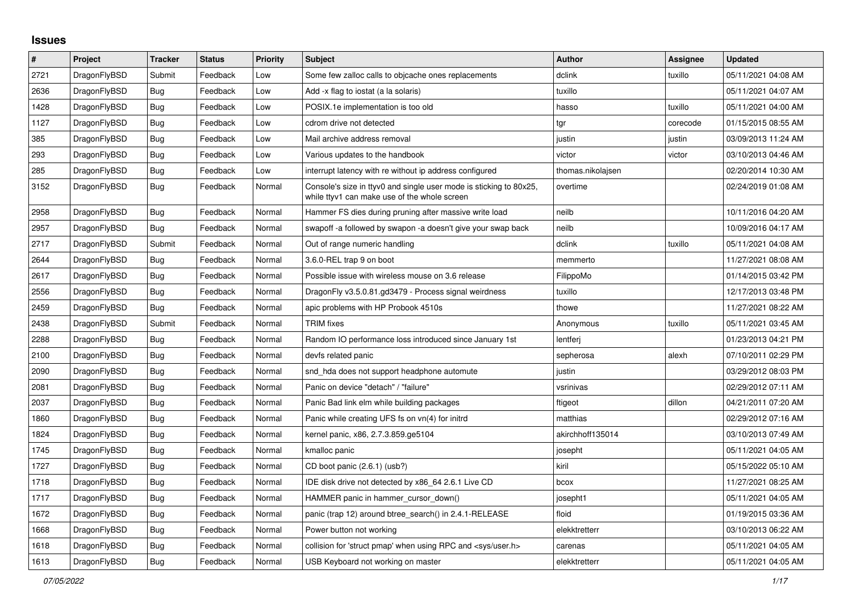## **Issues**

| $\vert$ # | Project      | <b>Tracker</b> | <b>Status</b> | Priority | Subject                                                                                                            | <b>Author</b>     | <b>Assignee</b> | <b>Updated</b>      |
|-----------|--------------|----------------|---------------|----------|--------------------------------------------------------------------------------------------------------------------|-------------------|-----------------|---------------------|
| 2721      | DragonFlyBSD | Submit         | Feedback      | Low      | Some few zalloc calls to objcache ones replacements                                                                | dclink            | tuxillo         | 05/11/2021 04:08 AM |
| 2636      | DragonFlyBSD | <b>Bug</b>     | Feedback      | Low      | Add -x flag to iostat (a la solaris)                                                                               | tuxillo           |                 | 05/11/2021 04:07 AM |
| 1428      | DragonFlyBSD | Bug            | Feedback      | Low      | POSIX.1e implementation is too old                                                                                 | hasso             | tuxillo         | 05/11/2021 04:00 AM |
| 1127      | DragonFlyBSD | Bug            | Feedback      | Low      | cdrom drive not detected                                                                                           | tgr               | corecode        | 01/15/2015 08:55 AM |
| 385       | DragonFlyBSD | Bug            | Feedback      | Low      | Mail archive address removal                                                                                       | justin            | justin          | 03/09/2013 11:24 AM |
| 293       | DragonFlyBSD | Bug            | Feedback      | Low      | Various updates to the handbook                                                                                    | victor            | victor          | 03/10/2013 04:46 AM |
| 285       | DragonFlyBSD | Bug            | Feedback      | Low      | interrupt latency with re without ip address configured                                                            | thomas.nikolajsen |                 | 02/20/2014 10:30 AM |
| 3152      | DragonFlyBSD | Bug            | Feedback      | Normal   | Console's size in ttyv0 and single user mode is sticking to 80x25,<br>while ttyv1 can make use of the whole screen | overtime          |                 | 02/24/2019 01:08 AM |
| 2958      | DragonFlyBSD | <b>Bug</b>     | Feedback      | Normal   | Hammer FS dies during pruning after massive write load                                                             | neilb             |                 | 10/11/2016 04:20 AM |
| 2957      | DragonFlyBSD | Bug            | Feedback      | Normal   | swapoff -a followed by swapon -a doesn't give your swap back                                                       | neilb             |                 | 10/09/2016 04:17 AM |
| 2717      | DragonFlyBSD | Submit         | Feedback      | Normal   | Out of range numeric handling                                                                                      | dclink            | tuxillo         | 05/11/2021 04:08 AM |
| 2644      | DragonFlyBSD | Bug            | Feedback      | Normal   | 3.6.0-REL trap 9 on boot                                                                                           | memmerto          |                 | 11/27/2021 08:08 AM |
| 2617      | DragonFlyBSD | <b>Bug</b>     | Feedback      | Normal   | Possible issue with wireless mouse on 3.6 release                                                                  | FilippoMo         |                 | 01/14/2015 03:42 PM |
| 2556      | DragonFlyBSD | <b>Bug</b>     | Feedback      | Normal   | DragonFly v3.5.0.81.gd3479 - Process signal weirdness                                                              | tuxillo           |                 | 12/17/2013 03:48 PM |
| 2459      | DragonFlyBSD | <b>Bug</b>     | Feedback      | Normal   | apic problems with HP Probook 4510s                                                                                | thowe             |                 | 11/27/2021 08:22 AM |
| 2438      | DragonFlyBSD | Submit         | Feedback      | Normal   | <b>TRIM</b> fixes                                                                                                  | Anonymous         | tuxillo         | 05/11/2021 03:45 AM |
| 2288      | DragonFlyBSD | Bug            | Feedback      | Normal   | Random IO performance loss introduced since January 1st                                                            | lentferi          |                 | 01/23/2013 04:21 PM |
| 2100      | DragonFlyBSD | Bug            | Feedback      | Normal   | devfs related panic                                                                                                | sepherosa         | alexh           | 07/10/2011 02:29 PM |
| 2090      | DragonFlyBSD | Bug            | Feedback      | Normal   | snd hda does not support headphone automute                                                                        | justin            |                 | 03/29/2012 08:03 PM |
| 2081      | DragonFlyBSD | Bug            | Feedback      | Normal   | Panic on device "detach" / "failure"                                                                               | vsrinivas         |                 | 02/29/2012 07:11 AM |
| 2037      | DragonFlyBSD | Bug            | Feedback      | Normal   | Panic Bad link elm while building packages                                                                         | ftigeot           | dillon          | 04/21/2011 07:20 AM |
| 1860      | DragonFlyBSD | Bug            | Feedback      | Normal   | Panic while creating UFS fs on vn(4) for initrd                                                                    | matthias          |                 | 02/29/2012 07:16 AM |
| 1824      | DragonFlyBSD | <b>Bug</b>     | Feedback      | Normal   | kernel panic, x86, 2.7.3.859.ge5104                                                                                | akirchhoff135014  |                 | 03/10/2013 07:49 AM |
| 1745      | DragonFlyBSD | Bug            | Feedback      | Normal   | kmalloc panic                                                                                                      | josepht           |                 | 05/11/2021 04:05 AM |
| 1727      | DragonFlyBSD | <b>Bug</b>     | Feedback      | Normal   | CD boot panic (2.6.1) (usb?)                                                                                       | kiril             |                 | 05/15/2022 05:10 AM |
| 1718      | DragonFlyBSD | Bug            | Feedback      | Normal   | IDE disk drive not detected by x86 64 2.6.1 Live CD                                                                | bcox              |                 | 11/27/2021 08:25 AM |
| 1717      | DragonFlyBSD | Bug            | Feedback      | Normal   | HAMMER panic in hammer cursor down()                                                                               | josepht1          |                 | 05/11/2021 04:05 AM |
| 1672      | DragonFlyBSD | Bug            | Feedback      | Normal   | panic (trap 12) around btree search() in 2.4.1-RELEASE                                                             | floid             |                 | 01/19/2015 03:36 AM |
| 1668      | DragonFlyBSD | Bug            | Feedback      | Normal   | Power button not working                                                                                           | elekktretterr     |                 | 03/10/2013 06:22 AM |
| 1618      | DragonFlyBSD | Bug            | Feedback      | Normal   | collision for 'struct pmap' when using RPC and <sys user.h=""></sys>                                               | carenas           |                 | 05/11/2021 04:05 AM |
| 1613      | DragonFlyBSD | <b>Bug</b>     | Feedback      | Normal   | USB Keyboard not working on master                                                                                 | elekktretterr     |                 | 05/11/2021 04:05 AM |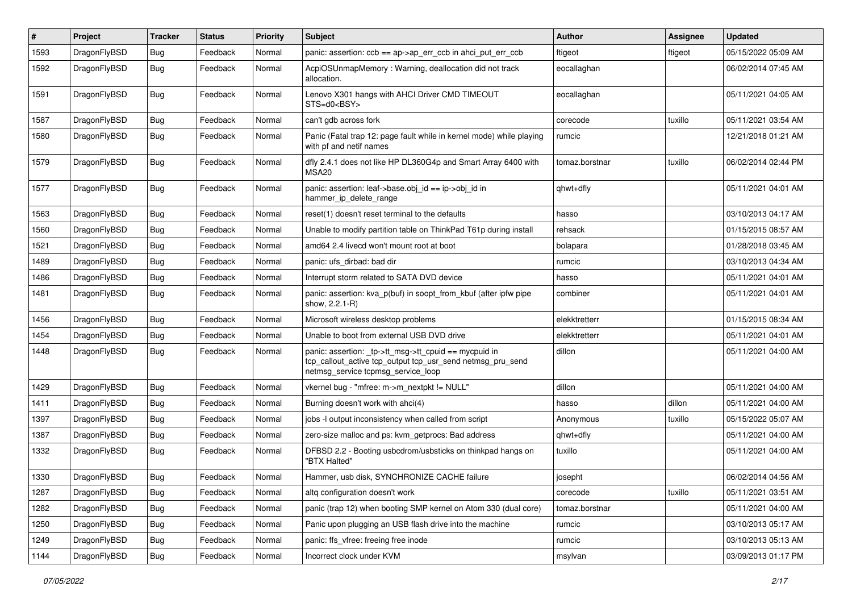| $\sharp$ | Project      | <b>Tracker</b> | <b>Status</b> | <b>Priority</b> | Subject                                                                                                                                                   | Author         | Assignee | <b>Updated</b>      |
|----------|--------------|----------------|---------------|-----------------|-----------------------------------------------------------------------------------------------------------------------------------------------------------|----------------|----------|---------------------|
| 1593     | DragonFlyBSD | <b>Bug</b>     | Feedback      | Normal          | panic: assertion: $ccb == ap > ap$ err $ccb$ in ahci put err $ccb$                                                                                        | ftigeot        | ftigeot  | 05/15/2022 05:09 AM |
| 1592     | DragonFlyBSD | <b>Bug</b>     | Feedback      | Normal          | AcpiOSUnmapMemory: Warning, deallocation did not track<br>allocation.                                                                                     | eocallaghan    |          | 06/02/2014 07:45 AM |
| 1591     | DragonFlyBSD | Bug            | Feedback      | Normal          | Lenovo X301 hangs with AHCI Driver CMD TIMEOUT<br>STS=d0 <bsy></bsy>                                                                                      | eocallaghan    |          | 05/11/2021 04:05 AM |
| 1587     | DragonFlyBSD | <b>Bug</b>     | Feedback      | Normal          | can't gdb across fork                                                                                                                                     | corecode       | tuxillo  | 05/11/2021 03:54 AM |
| 1580     | DragonFlyBSD | <b>Bug</b>     | Feedback      | Normal          | Panic (Fatal trap 12: page fault while in kernel mode) while playing<br>with pf and netif names                                                           | rumcic         |          | 12/21/2018 01:21 AM |
| 1579     | DragonFlyBSD | <b>Bug</b>     | Feedback      | Normal          | dfly 2.4.1 does not like HP DL360G4p and Smart Array 6400 with<br>MSA20                                                                                   | tomaz.borstnar | tuxillo  | 06/02/2014 02:44 PM |
| 1577     | DragonFlyBSD | Bug            | Feedback      | Normal          | panic: assertion: leaf->base.obj_id == ip->obj_id in<br>hammer_ip_delete_range                                                                            | qhwt+dfly      |          | 05/11/2021 04:01 AM |
| 1563     | DragonFlyBSD | <b>Bug</b>     | Feedback      | Normal          | reset(1) doesn't reset terminal to the defaults                                                                                                           | hasso          |          | 03/10/2013 04:17 AM |
| 1560     | DragonFlyBSD | <b>Bug</b>     | Feedback      | Normal          | Unable to modify partition table on ThinkPad T61p during install                                                                                          | rehsack        |          | 01/15/2015 08:57 AM |
| 1521     | DragonFlyBSD | <b>Bug</b>     | Feedback      | Normal          | amd64 2.4 livecd won't mount root at boot                                                                                                                 | bolapara       |          | 01/28/2018 03:45 AM |
| 1489     | DragonFlyBSD | <b>Bug</b>     | Feedback      | Normal          | panic: ufs dirbad: bad dir                                                                                                                                | rumcic         |          | 03/10/2013 04:34 AM |
| 1486     | DragonFlyBSD | <b>Bug</b>     | Feedback      | Normal          | Interrupt storm related to SATA DVD device                                                                                                                | hasso          |          | 05/11/2021 04:01 AM |
| 1481     | DragonFlyBSD | Bug            | Feedback      | Normal          | panic: assertion: kva_p(buf) in soopt_from_kbuf (after ipfw pipe<br>show, 2.2.1-R)                                                                        | combiner       |          | 05/11/2021 04:01 AM |
| 1456     | DragonFlyBSD | <b>Bug</b>     | Feedback      | Normal          | Microsoft wireless desktop problems                                                                                                                       | elekktretterr  |          | 01/15/2015 08:34 AM |
| 1454     | DragonFlyBSD | <b>Bug</b>     | Feedback      | Normal          | Unable to boot from external USB DVD drive                                                                                                                | elekktretterr  |          | 05/11/2021 04:01 AM |
| 1448     | DragonFlyBSD | <b>Bug</b>     | Feedback      | Normal          | panic: assertion: _tp->tt_msg->tt_cpuid == mycpuid in<br>tcp_callout_active tcp_output tcp_usr_send netmsg_pru_send<br>netmsg_service tcpmsg_service_loop | dillon         |          | 05/11/2021 04:00 AM |
| 1429     | DragonFlyBSD | Bug            | Feedback      | Normal          | vkernel bug - "mfree: m->m_nextpkt != NULL"                                                                                                               | dillon         |          | 05/11/2021 04:00 AM |
| 1411     | DragonFlyBSD | <b>Bug</b>     | Feedback      | Normal          | Burning doesn't work with ahci(4)                                                                                                                         | hasso          | dillon   | 05/11/2021 04:00 AM |
| 1397     | DragonFlyBSD | <b>Bug</b>     | Feedback      | Normal          | jobs -I output inconsistency when called from script                                                                                                      | Anonymous      | tuxillo  | 05/15/2022 05:07 AM |
| 1387     | DragonFlyBSD | <b>Bug</b>     | Feedback      | Normal          | zero-size malloc and ps: kvm_getprocs: Bad address                                                                                                        | qhwt+dfly      |          | 05/11/2021 04:00 AM |
| 1332     | DragonFlyBSD | <b>Bug</b>     | Feedback      | Normal          | DFBSD 2.2 - Booting usbcdrom/usbsticks on thinkpad hangs on<br>"BTX Halted"                                                                               | tuxillo        |          | 05/11/2021 04:00 AM |
| 1330     | DragonFlyBSD | Bug            | Feedback      | Normal          | Hammer, usb disk, SYNCHRONIZE CACHE failure                                                                                                               | josepht        |          | 06/02/2014 04:56 AM |
| 1287     | DragonFlyBSD | <b>Bug</b>     | Feedback      | Normal          | altq configuration doesn't work                                                                                                                           | corecode       | tuxillo  | 05/11/2021 03:51 AM |
| 1282     | DragonFlyBSD | <b>Bug</b>     | Feedback      | Normal          | panic (trap 12) when booting SMP kernel on Atom 330 (dual core)                                                                                           | tomaz.borstnar |          | 05/11/2021 04:00 AM |
| 1250     | DragonFlyBSD | <b>Bug</b>     | Feedback      | Normal          | Panic upon plugging an USB flash drive into the machine                                                                                                   | rumcic         |          | 03/10/2013 05:17 AM |
| 1249     | DragonFlyBSD | <b>Bug</b>     | Feedback      | Normal          | panic: ffs vfree: freeing free inode                                                                                                                      | rumcic         |          | 03/10/2013 05:13 AM |
| 1144     | DragonFlyBSD | <b>Bug</b>     | Feedback      | Normal          | Incorrect clock under KVM                                                                                                                                 | msylvan        |          | 03/09/2013 01:17 PM |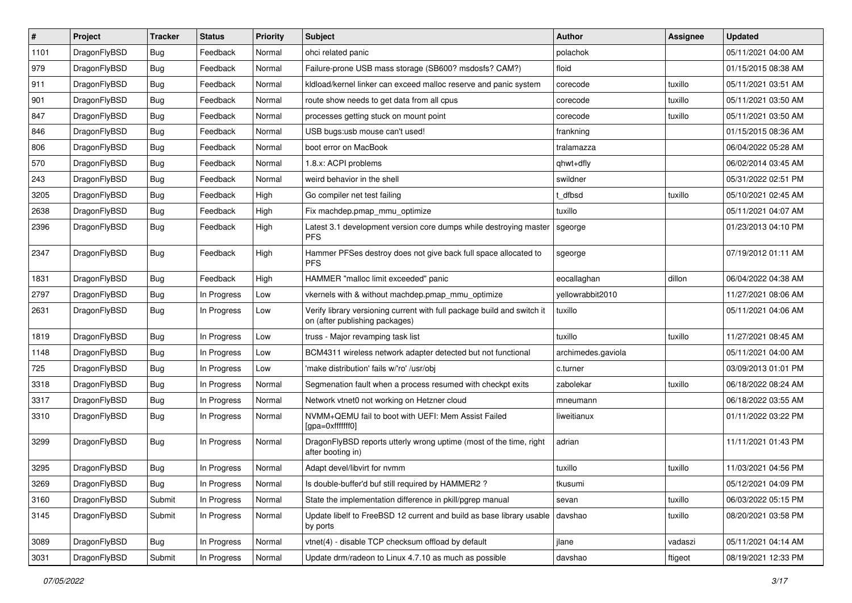| $\sharp$ | Project      | <b>Tracker</b> | <b>Status</b> | <b>Priority</b> | Subject                                                                                                   | <b>Author</b>      | <b>Assignee</b> | <b>Updated</b>      |
|----------|--------------|----------------|---------------|-----------------|-----------------------------------------------------------------------------------------------------------|--------------------|-----------------|---------------------|
| 1101     | DragonFlyBSD | Bug            | Feedback      | Normal          | ohci related panic                                                                                        | polachok           |                 | 05/11/2021 04:00 AM |
| 979      | DragonFlyBSD | Bug            | Feedback      | Normal          | Failure-prone USB mass storage (SB600? msdosfs? CAM?)                                                     | floid              |                 | 01/15/2015 08:38 AM |
| 911      | DragonFlyBSD | <b>Bug</b>     | Feedback      | Normal          | kldload/kernel linker can exceed malloc reserve and panic system                                          | corecode           | tuxillo         | 05/11/2021 03:51 AM |
| 901      | DragonFlyBSD | <b>Bug</b>     | Feedback      | Normal          | route show needs to get data from all cpus                                                                | corecode           | tuxillo         | 05/11/2021 03:50 AM |
| 847      | DragonFlyBSD | Bug            | Feedback      | Normal          | processes getting stuck on mount point                                                                    | corecode           | tuxillo         | 05/11/2021 03:50 AM |
| 846      | DragonFlyBSD | <b>Bug</b>     | Feedback      | Normal          | USB bugs:usb mouse can't used!                                                                            | frankning          |                 | 01/15/2015 08:36 AM |
| 806      | DragonFlyBSD | Bug            | Feedback      | Normal          | boot error on MacBook                                                                                     | tralamazza         |                 | 06/04/2022 05:28 AM |
| 570      | DragonFlyBSD | <b>Bug</b>     | Feedback      | Normal          | 1.8.x: ACPI problems                                                                                      | qhwt+dfly          |                 | 06/02/2014 03:45 AM |
| 243      | DragonFlyBSD | <b>Bug</b>     | Feedback      | Normal          | weird behavior in the shell                                                                               | swildner           |                 | 05/31/2022 02:51 PM |
| 3205     | DragonFlyBSD | Bug            | Feedback      | High            | Go compiler net test failing                                                                              | t_dfbsd            | tuxillo         | 05/10/2021 02:45 AM |
| 2638     | DragonFlyBSD | <b>Bug</b>     | Feedback      | High            | Fix machdep.pmap_mmu_optimize                                                                             | tuxillo            |                 | 05/11/2021 04:07 AM |
| 2396     | DragonFlyBSD | <b>Bug</b>     | Feedback      | High            | Latest 3.1 development version core dumps while destroying master<br><b>PFS</b>                           | sgeorge            |                 | 01/23/2013 04:10 PM |
| 2347     | DragonFlyBSD | <b>Bug</b>     | Feedback      | High            | Hammer PFSes destroy does not give back full space allocated to<br><b>PFS</b>                             | sgeorge            |                 | 07/19/2012 01:11 AM |
| 1831     | DragonFlyBSD | <b>Bug</b>     | Feedback      | High            | HAMMER "malloc limit exceeded" panic                                                                      | eocallaghan        | dillon          | 06/04/2022 04:38 AM |
| 2797     | DragonFlyBSD | Bug            | In Progress   | Low             | vkernels with & without machdep.pmap_mmu_optimize                                                         | yellowrabbit2010   |                 | 11/27/2021 08:06 AM |
| 2631     | DragonFlyBSD | Bug            | In Progress   | Low             | Verify library versioning current with full package build and switch it<br>on (after publishing packages) | tuxillo            |                 | 05/11/2021 04:06 AM |
| 1819     | DragonFlyBSD | <b>Bug</b>     | In Progress   | Low             | truss - Major revamping task list                                                                         | tuxillo            | tuxillo         | 11/27/2021 08:45 AM |
| 1148     | DragonFlyBSD | Bug            | In Progress   | Low             | BCM4311 wireless network adapter detected but not functional                                              | archimedes.gaviola |                 | 05/11/2021 04:00 AM |
| 725      | DragonFlyBSD | <b>Bug</b>     | In Progress   | Low             | 'make distribution' fails w/'ro' /usr/obj                                                                 | c.turner           |                 | 03/09/2013 01:01 PM |
| 3318     | DragonFlyBSD | <b>Bug</b>     | In Progress   | Normal          | Segmenation fault when a process resumed with checkpt exits                                               | zabolekar          | tuxillo         | 06/18/2022 08:24 AM |
| 3317     | DragonFlyBSD | <b>Bug</b>     | In Progress   | Normal          | Network vtnet0 not working on Hetzner cloud                                                               | mneumann           |                 | 06/18/2022 03:55 AM |
| 3310     | DragonFlyBSD | <b>Bug</b>     | In Progress   | Normal          | NVMM+QEMU fail to boot with UEFI: Mem Assist Failed<br>[gpa=0xfffffff0]                                   | liweitianux        |                 | 01/11/2022 03:22 PM |
| 3299     | DragonFlyBSD | Bug            | In Progress   | Normal          | DragonFlyBSD reports utterly wrong uptime (most of the time, right<br>after booting in)                   | adrian             |                 | 11/11/2021 01:43 PM |
| 3295     | DragonFlyBSD | <b>Bug</b>     | In Progress   | Normal          | Adapt devel/libvirt for nvmm                                                                              | tuxillo            | tuxillo         | 11/03/2021 04:56 PM |
| 3269     | DragonFlyBSD | <b>Bug</b>     | In Progress   | Normal          | Is double-buffer'd buf still required by HAMMER2 ?                                                        | tkusumi            |                 | 05/12/2021 04:09 PM |
| 3160     | DragonFlyBSD | Submit         | In Progress   | Normal          | State the implementation difference in pkill/pgrep manual                                                 | sevan              | tuxillo         | 06/03/2022 05:15 PM |
| 3145     | DragonFlyBSD | Submit         | In Progress   | Normal          | Update libelf to FreeBSD 12 current and build as base library usable<br>by ports                          | davshao            | tuxillo         | 08/20/2021 03:58 PM |
| 3089     | DragonFlyBSD | <b>Bug</b>     | In Progress   | Normal          | vtnet(4) - disable TCP checksum offload by default                                                        | jlane              | vadaszi         | 05/11/2021 04:14 AM |
| 3031     | DragonFlyBSD | Submit         | In Progress   | Normal          | Update drm/radeon to Linux 4.7.10 as much as possible                                                     | davshao            | ftigeot         | 08/19/2021 12:33 PM |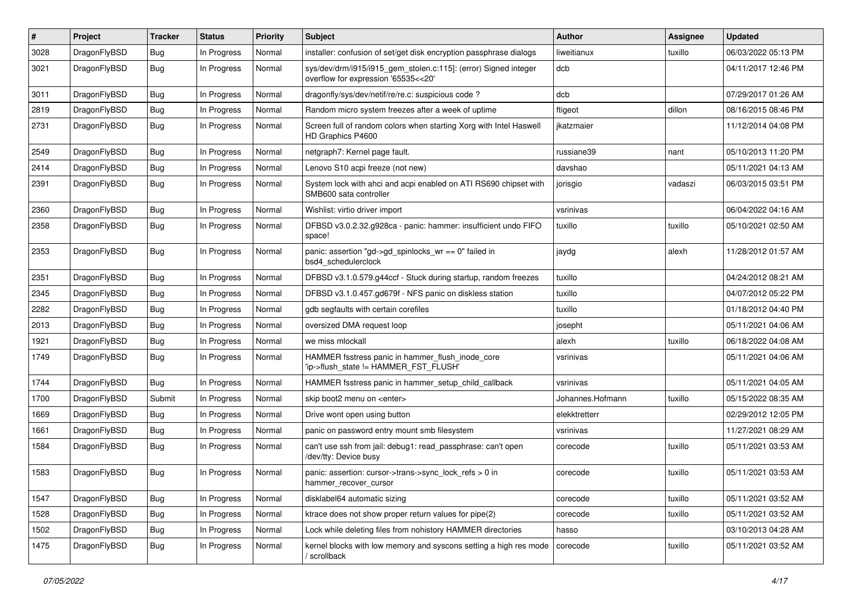| #    | Project      | <b>Tracker</b> | <b>Status</b> | <b>Priority</b> | Subject                                                                                                | <b>Author</b>    | Assignee | <b>Updated</b>      |
|------|--------------|----------------|---------------|-----------------|--------------------------------------------------------------------------------------------------------|------------------|----------|---------------------|
| 3028 | DragonFlyBSD | <b>Bug</b>     | In Progress   | Normal          | installer: confusion of set/get disk encryption passphrase dialogs                                     | liweitianux      | tuxillo  | 06/03/2022 05:13 PM |
| 3021 | DragonFlyBSD | Bug            | In Progress   | Normal          | sys/dev/drm/i915/i915_gem_stolen.c:115]: (error) Signed integer<br>overflow for expression '65535<<20' | dcb              |          | 04/11/2017 12:46 PM |
| 3011 | DragonFlyBSD | Bug            | In Progress   | Normal          | dragonfly/sys/dev/netif/re/re.c: suspicious code?                                                      | dcb              |          | 07/29/2017 01:26 AM |
| 2819 | DragonFlyBSD | Bug            | In Progress   | Normal          | Random micro system freezes after a week of uptime                                                     | ftigeot          | dillon   | 08/16/2015 08:46 PM |
| 2731 | DragonFlyBSD | <b>Bug</b>     | In Progress   | Normal          | Screen full of random colors when starting Xorg with Intel Haswell<br>HD Graphics P4600                | ikatzmaier       |          | 11/12/2014 04:08 PM |
| 2549 | DragonFlyBSD | Bug            | In Progress   | Normal          | netgraph7: Kernel page fault.                                                                          | russiane39       | nant     | 05/10/2013 11:20 PM |
| 2414 | DragonFlyBSD | <b>Bug</b>     | In Progress   | Normal          | Lenovo S10 acpi freeze (not new)                                                                       | davshao          |          | 05/11/2021 04:13 AM |
| 2391 | DragonFlyBSD | Bug            | In Progress   | Normal          | System lock with ahci and acpi enabled on ATI RS690 chipset with<br>SMB600 sata controller             | jorisgio         | vadaszi  | 06/03/2015 03:51 PM |
| 2360 | DragonFlyBSD | Bug            | In Progress   | Normal          | Wishlist: virtio driver import                                                                         | vsrinivas        |          | 06/04/2022 04:16 AM |
| 2358 | DragonFlyBSD | Bug            | In Progress   | Normal          | DFBSD v3.0.2.32.g928ca - panic: hammer: insufficient undo FIFO<br>space!                               | tuxillo          | tuxillo  | 05/10/2021 02:50 AM |
| 2353 | DragonFlyBSD | Bug            | In Progress   | Normal          | panic: assertion "gd->gd_spinlocks_wr == 0" failed in<br>bsd4 schedulerclock                           | jaydg            | alexh    | 11/28/2012 01:57 AM |
| 2351 | DragonFlyBSD | Bug            | In Progress   | Normal          | DFBSD v3.1.0.579.g44ccf - Stuck during startup, random freezes                                         | tuxillo          |          | 04/24/2012 08:21 AM |
| 2345 | DragonFlyBSD | <b>Bug</b>     | In Progress   | Normal          | DFBSD v3.1.0.457.gd679f - NFS panic on diskless station                                                | tuxillo          |          | 04/07/2012 05:22 PM |
| 2282 | DragonFlyBSD | <b>Bug</b>     | In Progress   | Normal          | gdb segfaults with certain corefiles                                                                   | tuxillo          |          | 01/18/2012 04:40 PM |
| 2013 | DragonFlyBSD | <b>Bug</b>     | In Progress   | Normal          | oversized DMA request loop                                                                             | josepht          |          | 05/11/2021 04:06 AM |
| 1921 | DragonFlyBSD | Bug            | In Progress   | Normal          | we miss mlockall                                                                                       | alexh            | tuxillo  | 06/18/2022 04:08 AM |
| 1749 | DragonFlyBSD | <b>Bug</b>     | In Progress   | Normal          | HAMMER fsstress panic in hammer_flush_inode_core<br>'ip->flush_state != HAMMER_FST_FLUSH'              | vsrinivas        |          | 05/11/2021 04:06 AM |
| 1744 | DragonFlyBSD | Bug            | In Progress   | Normal          | HAMMER fsstress panic in hammer setup child callback                                                   | vsrinivas        |          | 05/11/2021 04:05 AM |
| 1700 | DragonFlyBSD | Submit         | In Progress   | Normal          | skip boot2 menu on <enter></enter>                                                                     | Johannes.Hofmann | tuxillo  | 05/15/2022 08:35 AM |
| 1669 | DragonFlyBSD | Bug            | In Progress   | Normal          | Drive wont open using button                                                                           | elekktretterr    |          | 02/29/2012 12:05 PM |
| 1661 | DragonFlyBSD | <b>Bug</b>     | In Progress   | Normal          | panic on password entry mount smb filesystem                                                           | vsrinivas        |          | 11/27/2021 08:29 AM |
| 1584 | DragonFlyBSD | <b>Bug</b>     | In Progress   | Normal          | can't use ssh from jail: debug1: read_passphrase: can't open<br>/dev/tty: Device busy                  | corecode         | tuxillo  | 05/11/2021 03:53 AM |
| 1583 | DragonFlyBSD | <b>Bug</b>     | In Progress   | Normal          | panic: assertion: cursor->trans->sync_lock_refs > 0 in<br>hammer_recover_cursor                        | corecode         | tuxillo  | 05/11/2021 03:53 AM |
| 1547 | DragonFlyBSD | <b>Bug</b>     | In Progress   | Normal          | disklabel64 automatic sizing                                                                           | corecode         | tuxillo  | 05/11/2021 03:52 AM |
| 1528 | DragonFlyBSD | <b>Bug</b>     | In Progress   | Normal          | ktrace does not show proper return values for pipe(2)                                                  | corecode         | tuxillo  | 05/11/2021 03:52 AM |
| 1502 | DragonFlyBSD | <b>Bug</b>     | In Progress   | Normal          | Lock while deleting files from nohistory HAMMER directories                                            | hasso            |          | 03/10/2013 04:28 AM |
| 1475 | DragonFlyBSD | <b>Bug</b>     | In Progress   | Normal          | kernel blocks with low memory and syscons setting a high res mode<br>/ scrollback                      | corecode         | tuxillo  | 05/11/2021 03:52 AM |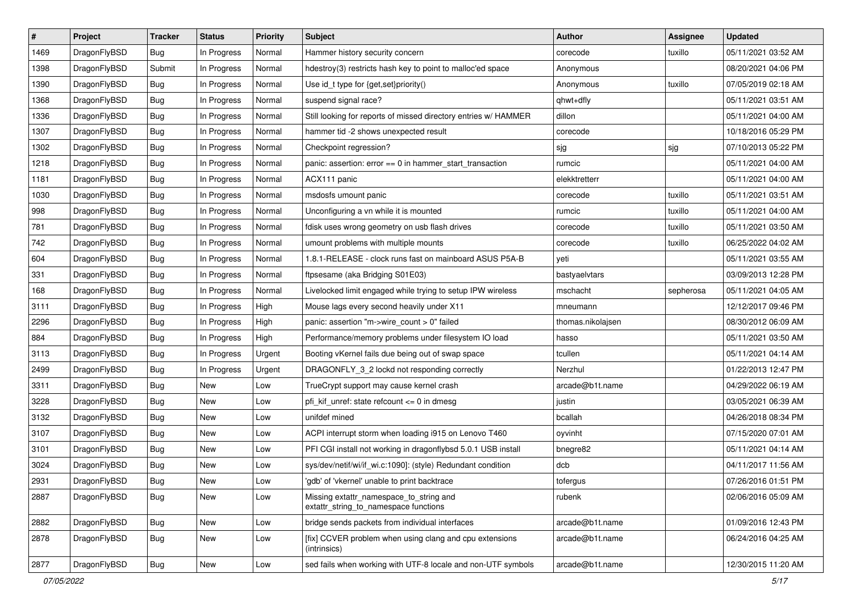| #    | Project      | <b>Tracker</b> | <b>Status</b> | <b>Priority</b> | <b>Subject</b>                                                                   | <b>Author</b>     | Assignee  | <b>Updated</b>      |
|------|--------------|----------------|---------------|-----------------|----------------------------------------------------------------------------------|-------------------|-----------|---------------------|
| 1469 | DragonFlyBSD | Bug            | In Progress   | Normal          | Hammer history security concern                                                  | corecode          | tuxillo   | 05/11/2021 03:52 AM |
| 1398 | DragonFlyBSD | Submit         | In Progress   | Normal          | hdestroy(3) restricts hash key to point to malloc'ed space                       | Anonymous         |           | 08/20/2021 04:06 PM |
| 1390 | DragonFlyBSD | <b>Bug</b>     | In Progress   | Normal          | Use id_t type for {get,set}priority()                                            | Anonymous         | tuxillo   | 07/05/2019 02:18 AM |
| 1368 | DragonFlyBSD | <b>Bug</b>     | In Progress   | Normal          | suspend signal race?                                                             | qhwt+dfly         |           | 05/11/2021 03:51 AM |
| 1336 | DragonFlyBSD | <b>Bug</b>     | In Progress   | Normal          | Still looking for reports of missed directory entries w/ HAMMER                  | dillon            |           | 05/11/2021 04:00 AM |
| 1307 | DragonFlyBSD | <b>Bug</b>     | In Progress   | Normal          | hammer tid -2 shows unexpected result                                            | corecode          |           | 10/18/2016 05:29 PM |
| 1302 | DragonFlyBSD | <b>Bug</b>     | In Progress   | Normal          | Checkpoint regression?                                                           | sjg               | sjg       | 07/10/2013 05:22 PM |
| 1218 | DragonFlyBSD | <b>Bug</b>     | In Progress   | Normal          | panic: assertion: error == 0 in hammer_start_transaction                         | rumcic            |           | 05/11/2021 04:00 AM |
| 1181 | DragonFlyBSD | <b>Bug</b>     | In Progress   | Normal          | ACX111 panic                                                                     | elekktretterr     |           | 05/11/2021 04:00 AM |
| 1030 | DragonFlyBSD | Bug            | In Progress   | Normal          | msdosfs umount panic                                                             | corecode          | tuxillo   | 05/11/2021 03:51 AM |
| 998  | DragonFlyBSD | <b>Bug</b>     | In Progress   | Normal          | Unconfiguring a vn while it is mounted                                           | rumcic            | tuxillo   | 05/11/2021 04:00 AM |
| 781  | DragonFlyBSD | <b>Bug</b>     | In Progress   | Normal          | fdisk uses wrong geometry on usb flash drives                                    | corecode          | tuxillo   | 05/11/2021 03:50 AM |
| 742  | DragonFlyBSD | Bug            | In Progress   | Normal          | umount problems with multiple mounts                                             | corecode          | tuxillo   | 06/25/2022 04:02 AM |
| 604  | DragonFlyBSD | Bug            | In Progress   | Normal          | 1.8.1-RELEASE - clock runs fast on mainboard ASUS P5A-B                          | yeti              |           | 05/11/2021 03:55 AM |
| 331  | DragonFlyBSD | <b>Bug</b>     | In Progress   | Normal          | ftpsesame (aka Bridging S01E03)                                                  | bastyaelvtars     |           | 03/09/2013 12:28 PM |
| 168  | DragonFlyBSD | Bug            | In Progress   | Normal          | Livelocked limit engaged while trying to setup IPW wireless                      | mschacht          | sepherosa | 05/11/2021 04:05 AM |
| 3111 | DragonFlyBSD | <b>Bug</b>     | In Progress   | High            | Mouse lags every second heavily under X11                                        | mneumann          |           | 12/12/2017 09:46 PM |
| 2296 | DragonFlyBSD | Bug            | In Progress   | High            | panic: assertion "m->wire_count > 0" failed                                      | thomas.nikolajsen |           | 08/30/2012 06:09 AM |
| 884  | DragonFlyBSD | <b>Bug</b>     | In Progress   | High            | Performance/memory problems under filesystem IO load                             | hasso             |           | 05/11/2021 03:50 AM |
| 3113 | DragonFlyBSD | Bug            | In Progress   | Urgent          | Booting vKernel fails due being out of swap space                                | tcullen           |           | 05/11/2021 04:14 AM |
| 2499 | DragonFlyBSD | Bug            | In Progress   | Urgent          | DRAGONFLY 3 2 lockd not responding correctly                                     | Nerzhul           |           | 01/22/2013 12:47 PM |
| 3311 | DragonFlyBSD | <b>Bug</b>     | New           | Low             | TrueCrypt support may cause kernel crash                                         | arcade@b1t.name   |           | 04/29/2022 06:19 AM |
| 3228 | DragonFlyBSD | Bug            | New           | Low             | pfi_kif_unref: state refcount <= 0 in dmesg                                      | justin            |           | 03/05/2021 06:39 AM |
| 3132 | DragonFlyBSD | <b>Bug</b>     | New           | Low             | unifdef mined                                                                    | bcallah           |           | 04/26/2018 08:34 PM |
| 3107 | DragonFlyBSD | Bug            | <b>New</b>    | Low             | ACPI interrupt storm when loading i915 on Lenovo T460                            | oyvinht           |           | 07/15/2020 07:01 AM |
| 3101 | DragonFlyBSD | Bug            | <b>New</b>    | Low             | PFI CGI install not working in dragonflybsd 5.0.1 USB install                    | bnegre82          |           | 05/11/2021 04:14 AM |
| 3024 | DragonFlyBSD | Bug            | New           | Low             | sys/dev/netif/wi/if_wi.c:1090]: (style) Redundant condition                      | dcb               |           | 04/11/2017 11:56 AM |
| 2931 | DragonFlyBSD | <b>Bug</b>     | New           | Low             | 'gdb' of 'vkernel' unable to print backtrace                                     | tofergus          |           | 07/26/2016 01:51 PM |
| 2887 | DragonFlyBSD | <b>Bug</b>     | New           | Low             | Missing extattr_namespace_to_string and<br>extattr_string_to_namespace functions | rubenk            |           | 02/06/2016 05:09 AM |
| 2882 | DragonFlyBSD | Bug            | New           | Low             | bridge sends packets from individual interfaces                                  | arcade@b1t.name   |           | 01/09/2016 12:43 PM |
| 2878 | DragonFlyBSD | <b>Bug</b>     | New           | Low             | [fix] CCVER problem when using clang and cpu extensions<br>(intrinsics)          | arcade@b1t.name   |           | 06/24/2016 04:25 AM |
| 2877 | DragonFlyBSD | <b>Bug</b>     | New           | Low             | sed fails when working with UTF-8 locale and non-UTF symbols                     | arcade@b1t.name   |           | 12/30/2015 11:20 AM |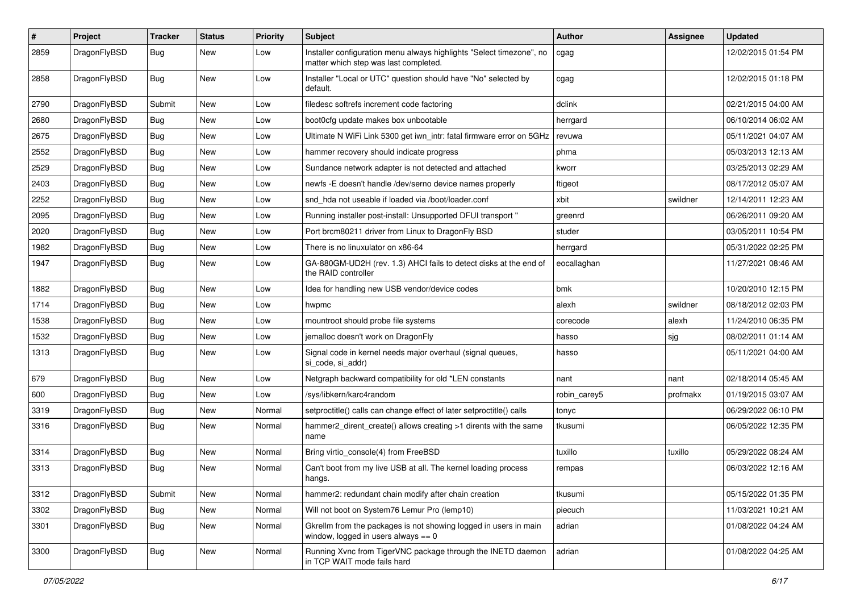| $\pmb{\#}$ | Project      | <b>Tracker</b> | <b>Status</b> | <b>Priority</b> | Subject                                                                                                       | Author       | Assignee | <b>Updated</b>      |
|------------|--------------|----------------|---------------|-----------------|---------------------------------------------------------------------------------------------------------------|--------------|----------|---------------------|
| 2859       | DragonFlyBSD | Bug            | New           | Low             | Installer configuration menu always highlights "Select timezone", no<br>matter which step was last completed. | cgag         |          | 12/02/2015 01:54 PM |
| 2858       | DragonFlyBSD | Bug            | <b>New</b>    | Low             | Installer "Local or UTC" question should have "No" selected by<br>default.                                    | cgag         |          | 12/02/2015 01:18 PM |
| 2790       | DragonFlyBSD | Submit         | <b>New</b>    | Low             | filedesc softrefs increment code factoring                                                                    | dclink       |          | 02/21/2015 04:00 AM |
| 2680       | DragonFlyBSD | <b>Bug</b>     | New           | Low             | boot0cfg update makes box unbootable                                                                          | herrgard     |          | 06/10/2014 06:02 AM |
| 2675       | DragonFlyBSD | Bug            | <b>New</b>    | Low             | Ultimate N WiFi Link 5300 get iwn_intr: fatal firmware error on 5GHz                                          | revuwa       |          | 05/11/2021 04:07 AM |
| 2552       | DragonFlyBSD | <b>Bug</b>     | New           | Low             | hammer recovery should indicate progress                                                                      | phma         |          | 05/03/2013 12:13 AM |
| 2529       | DragonFlyBSD | Bug            | <b>New</b>    | Low             | Sundance network adapter is not detected and attached                                                         | kworr        |          | 03/25/2013 02:29 AM |
| 2403       | DragonFlyBSD | <b>Bug</b>     | <b>New</b>    | Low             | newfs -E doesn't handle /dev/serno device names properly                                                      | ftigeot      |          | 08/17/2012 05:07 AM |
| 2252       | DragonFlyBSD | Bug            | New           | Low             | snd hda not useable if loaded via /boot/loader.conf                                                           | xbit         | swildner | 12/14/2011 12:23 AM |
| 2095       | DragonFlyBSD | Bug            | <b>New</b>    | Low             | Running installer post-install: Unsupported DFUI transport "                                                  | greenrd      |          | 06/26/2011 09:20 AM |
| 2020       | DragonFlyBSD | <b>Bug</b>     | New           | Low             | Port brcm80211 driver from Linux to DragonFly BSD                                                             | studer       |          | 03/05/2011 10:54 PM |
| 1982       | DragonFlyBSD | Bug            | New           | Low             | There is no linuxulator on x86-64                                                                             | herrgard     |          | 05/31/2022 02:25 PM |
| 1947       | DragonFlyBSD | Bug            | New           | Low             | GA-880GM-UD2H (rev. 1.3) AHCI fails to detect disks at the end of<br>the RAID controller                      | eocallaghan  |          | 11/27/2021 08:46 AM |
| 1882       | DragonFlyBSD | Bug            | <b>New</b>    | Low             | Idea for handling new USB vendor/device codes                                                                 | bmk          |          | 10/20/2010 12:15 PM |
| 1714       | DragonFlyBSD | Bug            | <b>New</b>    | Low             | hwpmc                                                                                                         | alexh        | swildner | 08/18/2012 02:03 PM |
| 1538       | DragonFlyBSD | <b>Bug</b>     | New           | Low             | mountroot should probe file systems                                                                           | corecode     | alexh    | 11/24/2010 06:35 PM |
| 1532       | DragonFlyBSD | Bug            | <b>New</b>    | Low             | jemalloc doesn't work on DragonFly                                                                            | hasso        | sjg      | 08/02/2011 01:14 AM |
| 1313       | DragonFlyBSD | Bug            | New           | Low             | Signal code in kernel needs major overhaul (signal queues,<br>si_code, si_addr)                               | hasso        |          | 05/11/2021 04:00 AM |
| 679        | DragonFlyBSD | Bug            | <b>New</b>    | Low             | Netgraph backward compatibility for old *LEN constants                                                        | nant         | nant     | 02/18/2014 05:45 AM |
| 600        | DragonFlyBSD | <b>Bug</b>     | <b>New</b>    | Low             | /sys/libkern/karc4random                                                                                      | robin_carey5 | profmakx | 01/19/2015 03:07 AM |
| 3319       | DragonFlyBSD | Bug            | New           | Normal          | setproctitle() calls can change effect of later setproctitle() calls                                          | tonyc        |          | 06/29/2022 06:10 PM |
| 3316       | DragonFlyBSD | Bug            | New           | Normal          | hammer2 dirent create() allows creating >1 dirents with the same<br>name                                      | tkusumi      |          | 06/05/2022 12:35 PM |
| 3314       | DragonFlyBSD | Bug            | <b>New</b>    | Normal          | Bring virtio_console(4) from FreeBSD                                                                          | tuxillo      | tuxillo  | 05/29/2022 08:24 AM |
| 3313       | DragonFlyBSD | Bug            | New           | Normal          | Can't boot from my live USB at all. The kernel loading process<br>hangs.                                      | rempas       |          | 06/03/2022 12:16 AM |
| 3312       | DragonFlyBSD | Submit         | New           | Normal          | hammer2: redundant chain modify after chain creation                                                          | tkusumi      |          | 05/15/2022 01:35 PM |
| 3302       | DragonFlyBSD | <b>Bug</b>     | New           | Normal          | Will not boot on System76 Lemur Pro (lemp10)                                                                  | piecuch      |          | 11/03/2021 10:21 AM |
| 3301       | DragonFlyBSD | <b>Bug</b>     | New           | Normal          | Gkrellm from the packages is not showing logged in users in main<br>window, logged in users always $== 0$     | adrian       |          | 01/08/2022 04:24 AM |
| 3300       | DragonFlyBSD | Bug            | New           | Normal          | Running Xvnc from TigerVNC package through the INETD daemon<br>in TCP WAIT mode fails hard                    | adrian       |          | 01/08/2022 04:25 AM |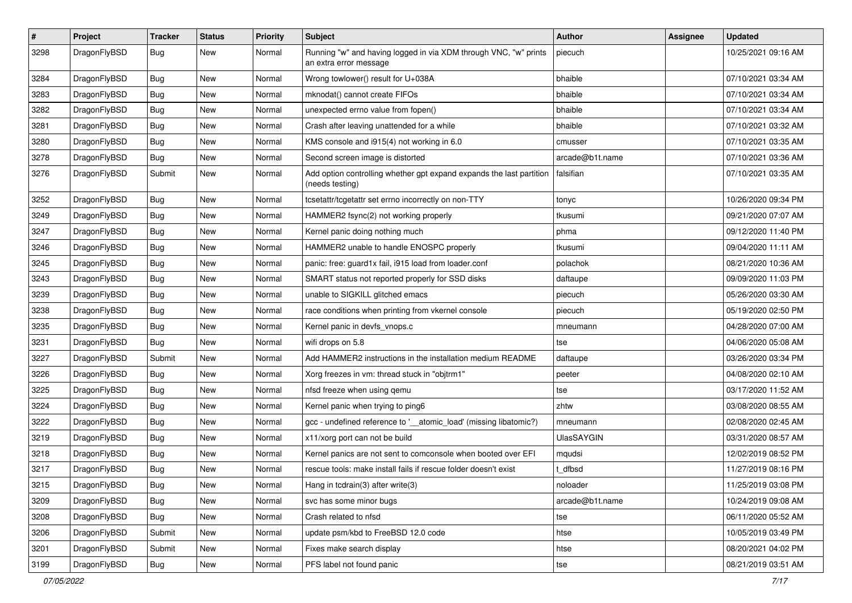| $\pmb{\#}$ | Project      | <b>Tracker</b> | <b>Status</b> | <b>Priority</b> | Subject                                                                                    | <b>Author</b>     | <b>Assignee</b> | <b>Updated</b>      |
|------------|--------------|----------------|---------------|-----------------|--------------------------------------------------------------------------------------------|-------------------|-----------------|---------------------|
| 3298       | DragonFlyBSD | Bug            | <b>New</b>    | Normal          | Running "w" and having logged in via XDM through VNC, "w" prints<br>an extra error message | piecuch           |                 | 10/25/2021 09:16 AM |
| 3284       | DragonFlyBSD | <b>Bug</b>     | <b>New</b>    | Normal          | Wrong towlower() result for U+038A                                                         | bhaible           |                 | 07/10/2021 03:34 AM |
| 3283       | DragonFlyBSD | <b>Bug</b>     | <b>New</b>    | Normal          | mknodat() cannot create FIFOs                                                              | bhaible           |                 | 07/10/2021 03:34 AM |
| 3282       | DragonFlyBSD | Bug            | <b>New</b>    | Normal          | unexpected errno value from fopen()                                                        | bhaible           |                 | 07/10/2021 03:34 AM |
| 3281       | DragonFlyBSD | <b>Bug</b>     | New           | Normal          | Crash after leaving unattended for a while                                                 | bhaible           |                 | 07/10/2021 03:32 AM |
| 3280       | DragonFlyBSD | Bug            | New           | Normal          | KMS console and i915(4) not working in 6.0                                                 | cmusser           |                 | 07/10/2021 03:35 AM |
| 3278       | DragonFlyBSD | Bug            | New           | Normal          | Second screen image is distorted                                                           | arcade@b1t.name   |                 | 07/10/2021 03:36 AM |
| 3276       | DragonFlyBSD | Submit         | <b>New</b>    | Normal          | Add option controlling whether gpt expand expands the last partition<br>(needs testing)    | falsifian         |                 | 07/10/2021 03:35 AM |
| 3252       | DragonFlyBSD | <b>Bug</b>     | <b>New</b>    | Normal          | tcsetattr/tcgetattr set errno incorrectly on non-TTY                                       | tonyc             |                 | 10/26/2020 09:34 PM |
| 3249       | DragonFlyBSD | Bug            | <b>New</b>    | Normal          | HAMMER2 fsync(2) not working properly                                                      | tkusumi           |                 | 09/21/2020 07:07 AM |
| 3247       | DragonFlyBSD | <b>Bug</b>     | <b>New</b>    | Normal          | Kernel panic doing nothing much                                                            | phma              |                 | 09/12/2020 11:40 PM |
| 3246       | DragonFlyBSD | Bug            | New           | Normal          | HAMMER2 unable to handle ENOSPC properly                                                   | tkusumi           |                 | 09/04/2020 11:11 AM |
| 3245       | DragonFlyBSD | Bug            | <b>New</b>    | Normal          | panic: free: guard1x fail, i915 load from loader.conf                                      | polachok          |                 | 08/21/2020 10:36 AM |
| 3243       | DragonFlyBSD | Bug            | <b>New</b>    | Normal          | SMART status not reported properly for SSD disks                                           | daftaupe          |                 | 09/09/2020 11:03 PM |
| 3239       | DragonFlyBSD | Bug            | <b>New</b>    | Normal          | unable to SIGKILL glitched emacs                                                           | piecuch           |                 | 05/26/2020 03:30 AM |
| 3238       | DragonFlyBSD | Bug            | New           | Normal          | race conditions when printing from vkernel console                                         | piecuch           |                 | 05/19/2020 02:50 PM |
| 3235       | DragonFlyBSD | Bug            | New           | Normal          | Kernel panic in devfs vnops.c                                                              | mneumann          |                 | 04/28/2020 07:00 AM |
| 3231       | DragonFlyBSD | <b>Bug</b>     | <b>New</b>    | Normal          | wifi drops on 5.8                                                                          | tse               |                 | 04/06/2020 05:08 AM |
| 3227       | DragonFlyBSD | Submit         | New           | Normal          | Add HAMMER2 instructions in the installation medium README                                 | daftaupe          |                 | 03/26/2020 03:34 PM |
| 3226       | DragonFlyBSD | <b>Bug</b>     | New           | Normal          | Xorg freezes in vm: thread stuck in "objtrm1"                                              | peeter            |                 | 04/08/2020 02:10 AM |
| 3225       | DragonFlyBSD | Bug            | New           | Normal          | nfsd freeze when using qemu                                                                | tse               |                 | 03/17/2020 11:52 AM |
| 3224       | DragonFlyBSD | <b>Bug</b>     | <b>New</b>    | Normal          | Kernel panic when trying to ping6                                                          | zhtw              |                 | 03/08/2020 08:55 AM |
| 3222       | DragonFlyBSD | Bug            | <b>New</b>    | Normal          | gcc - undefined reference to '__atomic_load' (missing libatomic?)                          | mneumann          |                 | 02/08/2020 02:45 AM |
| 3219       | DragonFlyBSD | <b>Bug</b>     | <b>New</b>    | Normal          | x11/xorg port can not be build                                                             | <b>UlasSAYGIN</b> |                 | 03/31/2020 08:57 AM |
| 3218       | DragonFlyBSD | Bug            | New           | Normal          | Kernel panics are not sent to comconsole when booted over EFI                              | mqudsi            |                 | 12/02/2019 08:52 PM |
| 3217       | DragonFlyBSD | Bug            | New           | Normal          | rescue tools: make install fails if rescue folder doesn't exist                            | dfbsd             |                 | 11/27/2019 08:16 PM |
| 3215       | DragonFlyBSD | <b>Bug</b>     | New           | Normal          | Hang in tcdrain(3) after write(3)                                                          | noloader          |                 | 11/25/2019 03:08 PM |
| 3209       | DragonFlyBSD | <b>Bug</b>     | New           | Normal          | svc has some minor bugs                                                                    | arcade@b1t.name   |                 | 10/24/2019 09:08 AM |
| 3208       | DragonFlyBSD | <b>Bug</b>     | New           | Normal          | Crash related to nfsd                                                                      | tse               |                 | 06/11/2020 05:52 AM |
| 3206       | DragonFlyBSD | Submit         | New           | Normal          | update psm/kbd to FreeBSD 12.0 code                                                        | htse              |                 | 10/05/2019 03:49 PM |
| 3201       | DragonFlyBSD | Submit         | New           | Normal          | Fixes make search display                                                                  | htse              |                 | 08/20/2021 04:02 PM |
| 3199       | DragonFlyBSD | <b>Bug</b>     | New           | Normal          | PFS label not found panic                                                                  | tse               |                 | 08/21/2019 03:51 AM |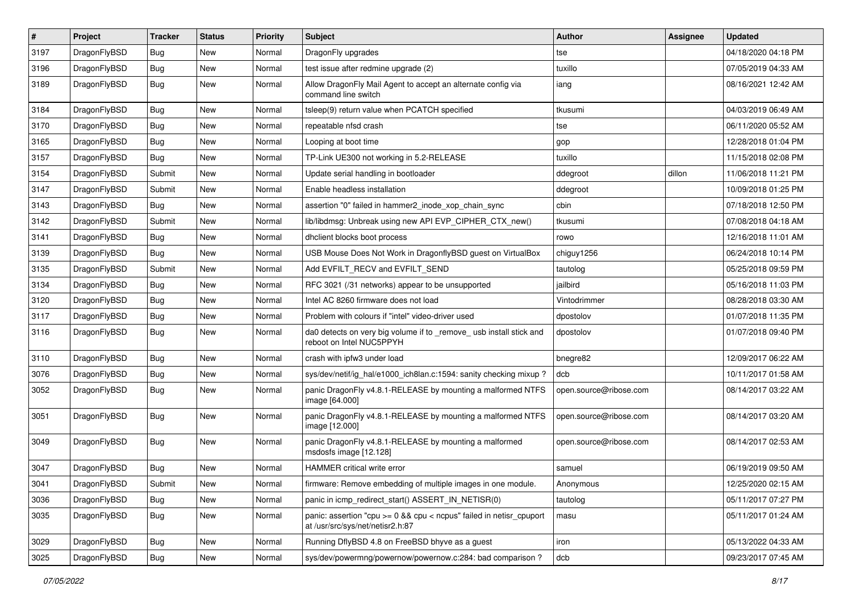| $\sharp$ | Project      | <b>Tracker</b> | <b>Status</b> | <b>Priority</b> | Subject                                                                                                 | <b>Author</b>          | Assignee | <b>Updated</b>      |
|----------|--------------|----------------|---------------|-----------------|---------------------------------------------------------------------------------------------------------|------------------------|----------|---------------------|
| 3197     | DragonFlyBSD | <b>Bug</b>     | New           | Normal          | DragonFly upgrades                                                                                      | tse                    |          | 04/18/2020 04:18 PM |
| 3196     | DragonFlyBSD | Bug            | New           | Normal          | test issue after redmine upgrade (2)                                                                    | tuxillo                |          | 07/05/2019 04:33 AM |
| 3189     | DragonFlyBSD | <b>Bug</b>     | New           | Normal          | Allow DragonFly Mail Agent to accept an alternate config via<br>command line switch                     | iang                   |          | 08/16/2021 12:42 AM |
| 3184     | DragonFlyBSD | Bug            | <b>New</b>    | Normal          | tsleep(9) return value when PCATCH specified                                                            | tkusumi                |          | 04/03/2019 06:49 AM |
| 3170     | DragonFlyBSD | <b>Bug</b>     | New           | Normal          | repeatable nfsd crash                                                                                   | tse                    |          | 06/11/2020 05:52 AM |
| 3165     | DragonFlyBSD | <b>Bug</b>     | New           | Normal          | Looping at boot time                                                                                    | gop                    |          | 12/28/2018 01:04 PM |
| 3157     | DragonFlyBSD | <b>Bug</b>     | New           | Normal          | TP-Link UE300 not working in 5.2-RELEASE                                                                | tuxillo                |          | 11/15/2018 02:08 PM |
| 3154     | DragonFlyBSD | Submit         | New           | Normal          | Update serial handling in bootloader                                                                    | ddegroot               | dillon   | 11/06/2018 11:21 PM |
| 3147     | DragonFlyBSD | Submit         | <b>New</b>    | Normal          | Enable headless installation                                                                            | ddegroot               |          | 10/09/2018 01:25 PM |
| 3143     | DragonFlyBSD | <b>Bug</b>     | New           | Normal          | assertion "0" failed in hammer2 inode xop chain sync                                                    | cbin                   |          | 07/18/2018 12:50 PM |
| 3142     | DragonFlyBSD | Submit         | New           | Normal          | lib/libdmsg: Unbreak using new API EVP_CIPHER_CTX_new()                                                 | tkusumi                |          | 07/08/2018 04:18 AM |
| 3141     | DragonFlyBSD | Bug            | New           | Normal          | dhclient blocks boot process                                                                            | rowo                   |          | 12/16/2018 11:01 AM |
| 3139     | DragonFlyBSD | <b>Bug</b>     | <b>New</b>    | Normal          | USB Mouse Does Not Work in DragonflyBSD guest on VirtualBox                                             | chiguy1256             |          | 06/24/2018 10:14 PM |
| 3135     | DragonFlyBSD | Submit         | New           | Normal          | Add EVFILT_RECV and EVFILT_SEND                                                                         | tautolog               |          | 05/25/2018 09:59 PM |
| 3134     | DragonFlyBSD | Bug            | New           | Normal          | RFC 3021 (/31 networks) appear to be unsupported                                                        | jailbird               |          | 05/16/2018 11:03 PM |
| 3120     | DragonFlyBSD | Bug            | <b>New</b>    | Normal          | Intel AC 8260 firmware does not load                                                                    | Vintodrimmer           |          | 08/28/2018 03:30 AM |
| 3117     | DragonFlyBSD | Bug            | <b>New</b>    | Normal          | Problem with colours if "intel" video-driver used                                                       | dpostolov              |          | 01/07/2018 11:35 PM |
| 3116     | DragonFlyBSD | Bug            | New           | Normal          | da0 detects on very big volume if to _remove_ usb install stick and<br>reboot on Intel NUC5PPYH         | dpostolov              |          | 01/07/2018 09:40 PM |
| 3110     | DragonFlyBSD | Bug            | New           | Normal          | crash with ipfw3 under load                                                                             | bnegre82               |          | 12/09/2017 06:22 AM |
| 3076     | DragonFlyBSD | Bug            | New           | Normal          | sys/dev/netif/ig_hal/e1000_ich8lan.c:1594: sanity checking mixup?                                       | dcb                    |          | 10/11/2017 01:58 AM |
| 3052     | DragonFlyBSD | Bug            | New           | Normal          | panic DragonFly v4.8.1-RELEASE by mounting a malformed NTFS<br>image [64.000]                           | open.source@ribose.com |          | 08/14/2017 03:22 AM |
| 3051     | DragonFlyBSD | Bug            | New           | Normal          | panic DragonFly v4.8.1-RELEASE by mounting a malformed NTFS<br>image [12.000]                           | open.source@ribose.com |          | 08/14/2017 03:20 AM |
| 3049     | DragonFlyBSD | Bug            | New           | Normal          | panic DragonFly v4.8.1-RELEASE by mounting a malformed<br>msdosfs image [12.128]                        | open.source@ribose.com |          | 08/14/2017 02:53 AM |
| 3047     | DragonFlyBSD | Bug            | New           | Normal          | HAMMER critical write error                                                                             | samuel                 |          | 06/19/2019 09:50 AM |
| 3041     | DragonFlyBSD | Submit         | I New         | Normal          | firmware: Remove embedding of multiple images in one module.                                            | Anonymous              |          | 12/25/2020 02:15 AM |
| 3036     | DragonFlyBSD | <b>Bug</b>     | New           | Normal          | panic in icmp_redirect_start() ASSERT_IN_NETISR(0)                                                      | tautolog               |          | 05/11/2017 07:27 PM |
| 3035     | DragonFlyBSD | Bug            | New           | Normal          | panic: assertion "cpu >= 0 && cpu < ncpus" failed in netisr_cpuport<br>at /usr/src/sys/net/netisr2.h:87 | masu                   |          | 05/11/2017 01:24 AM |
| 3029     | DragonFlyBSD | <b>Bug</b>     | <b>New</b>    | Normal          | Running DflyBSD 4.8 on FreeBSD bhyve as a guest                                                         | iron                   |          | 05/13/2022 04:33 AM |
| 3025     | DragonFlyBSD | <b>Bug</b>     | New           | Normal          | sys/dev/powermng/powernow/powernow.c:284: bad comparison?                                               | dcb                    |          | 09/23/2017 07:45 AM |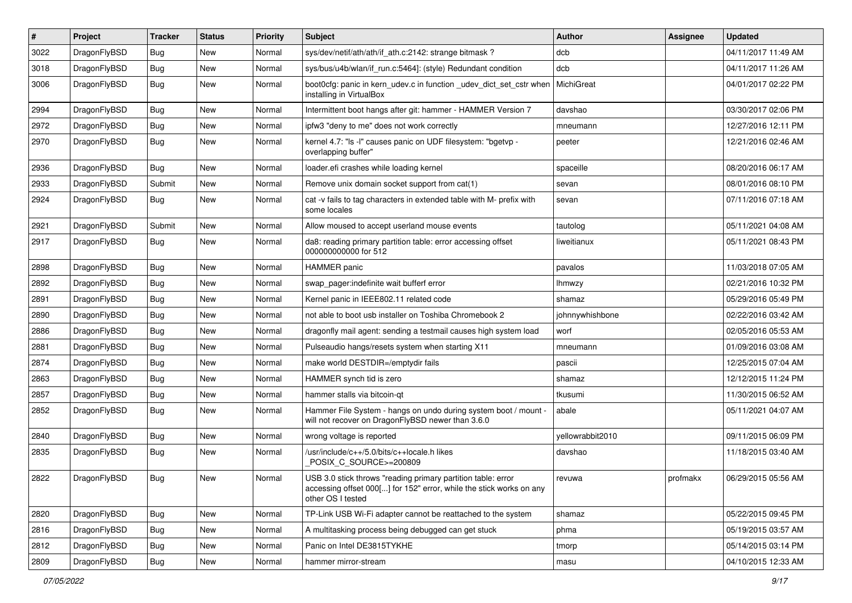| $\sharp$ | Project      | <b>Tracker</b> | <b>Status</b> | <b>Priority</b> | Subject                                                                                                                                                  | <b>Author</b>    | Assignee | <b>Updated</b>      |
|----------|--------------|----------------|---------------|-----------------|----------------------------------------------------------------------------------------------------------------------------------------------------------|------------------|----------|---------------------|
| 3022     | DragonFlyBSD | Bug            | <b>New</b>    | Normal          | sys/dev/netif/ath/ath/if_ath.c:2142: strange bitmask?                                                                                                    | dcb              |          | 04/11/2017 11:49 AM |
| 3018     | DragonFlyBSD | Bug            | <b>New</b>    | Normal          | sys/bus/u4b/wlan/if_run.c:5464]: (style) Redundant condition                                                                                             | dcb              |          | 04/11/2017 11:26 AM |
| 3006     | DragonFlyBSD | <b>Bug</b>     | <b>New</b>    | Normal          | boot0cfg: panic in kern_udev.c in function _udev_dict_set_cstr when<br>installing in VirtualBox                                                          | MichiGreat       |          | 04/01/2017 02:22 PM |
| 2994     | DragonFlyBSD | Bug            | <b>New</b>    | Normal          | Intermittent boot hangs after git: hammer - HAMMER Version 7                                                                                             | davshao          |          | 03/30/2017 02:06 PM |
| 2972     | DragonFlyBSD | <b>Bug</b>     | <b>New</b>    | Normal          | ipfw3 "deny to me" does not work correctly                                                                                                               | mneumann         |          | 12/27/2016 12:11 PM |
| 2970     | DragonFlyBSD | Bug            | <b>New</b>    | Normal          | kernel 4.7: "Is -I" causes panic on UDF filesystem: "bgetvp -<br>overlapping buffer"                                                                     | peeter           |          | 12/21/2016 02:46 AM |
| 2936     | DragonFlyBSD | Bug            | <b>New</b>    | Normal          | loader.efi crashes while loading kernel                                                                                                                  | spaceille        |          | 08/20/2016 06:17 AM |
| 2933     | DragonFlyBSD | Submit         | <b>New</b>    | Normal          | Remove unix domain socket support from cat(1)                                                                                                            | sevan            |          | 08/01/2016 08:10 PM |
| 2924     | DragonFlyBSD | Bug            | <b>New</b>    | Normal          | cat -v fails to tag characters in extended table with M- prefix with<br>some locales                                                                     | sevan            |          | 07/11/2016 07:18 AM |
| 2921     | DragonFlyBSD | Submit         | <b>New</b>    | Normal          | Allow moused to accept userland mouse events                                                                                                             | tautolog         |          | 05/11/2021 04:08 AM |
| 2917     | DragonFlyBSD | Bug            | New           | Normal          | da8: reading primary partition table: error accessing offset<br>000000000000 for 512                                                                     | liweitianux      |          | 05/11/2021 08:43 PM |
| 2898     | DragonFlyBSD | Bug            | <b>New</b>    | Normal          | <b>HAMMER</b> panic                                                                                                                                      | pavalos          |          | 11/03/2018 07:05 AM |
| 2892     | DragonFlyBSD | Bug            | <b>New</b>    | Normal          | swap pager:indefinite wait bufferf error                                                                                                                 | lhmwzy           |          | 02/21/2016 10:32 PM |
| 2891     | DragonFlyBSD | Bug            | <b>New</b>    | Normal          | Kernel panic in IEEE802.11 related code                                                                                                                  | shamaz           |          | 05/29/2016 05:49 PM |
| 2890     | DragonFlyBSD | <b>Bug</b>     | <b>New</b>    | Normal          | not able to boot usb installer on Toshiba Chromebook 2                                                                                                   | johnnywhishbone  |          | 02/22/2016 03:42 AM |
| 2886     | DragonFlyBSD | <b>Bug</b>     | New           | Normal          | dragonfly mail agent: sending a testmail causes high system load                                                                                         | worf             |          | 02/05/2016 05:53 AM |
| 2881     | DragonFlyBSD | Bug            | <b>New</b>    | Normal          | Pulseaudio hangs/resets system when starting X11                                                                                                         | mneumann         |          | 01/09/2016 03:08 AM |
| 2874     | DragonFlyBSD | <b>Bug</b>     | <b>New</b>    | Normal          | make world DESTDIR=/emptydir fails                                                                                                                       | pascii           |          | 12/25/2015 07:04 AM |
| 2863     | DragonFlyBSD | Bug            | <b>New</b>    | Normal          | HAMMER synch tid is zero                                                                                                                                 | shamaz           |          | 12/12/2015 11:24 PM |
| 2857     | DragonFlyBSD | <b>Bug</b>     | <b>New</b>    | Normal          | hammer stalls via bitcoin-qt                                                                                                                             | tkusumi          |          | 11/30/2015 06:52 AM |
| 2852     | DragonFlyBSD | Bug            | New           | Normal          | Hammer File System - hangs on undo during system boot / mount -<br>will not recover on DragonFlyBSD newer than 3.6.0                                     | abale            |          | 05/11/2021 04:07 AM |
| 2840     | DragonFlyBSD | Bug            | <b>New</b>    | Normal          | wrong voltage is reported                                                                                                                                | yellowrabbit2010 |          | 09/11/2015 06:09 PM |
| 2835     | DragonFlyBSD | Bug            | New           | Normal          | /usr/include/c++/5.0/bits/c++locale.h likes<br>POSIX_C_SOURCE>=200809                                                                                    | davshao          |          | 11/18/2015 03:40 AM |
| 2822     | DragonFlyBSD | Bug            | <b>New</b>    | Normal          | USB 3.0 stick throws "reading primary partition table: error<br>accessing offset 000[] for 152" error, while the stick works on any<br>other OS I tested | revuwa           | profmakx | 06/29/2015 05:56 AM |
| 2820     | DragonFlyBSD | <b>Bug</b>     | New           | Normal          | TP-Link USB Wi-Fi adapter cannot be reattached to the system                                                                                             | shamaz           |          | 05/22/2015 09:45 PM |
| 2816     | DragonFlyBSD | Bug            | New           | Normal          | A multitasking process being debugged can get stuck                                                                                                      | phma             |          | 05/19/2015 03:57 AM |
| 2812     | DragonFlyBSD | Bug            | New           | Normal          | Panic on Intel DE3815TYKHE                                                                                                                               | tmorp            |          | 05/14/2015 03:14 PM |
| 2809     | DragonFlyBSD | <b>Bug</b>     | New           | Normal          | hammer mirror-stream                                                                                                                                     | masu             |          | 04/10/2015 12:33 AM |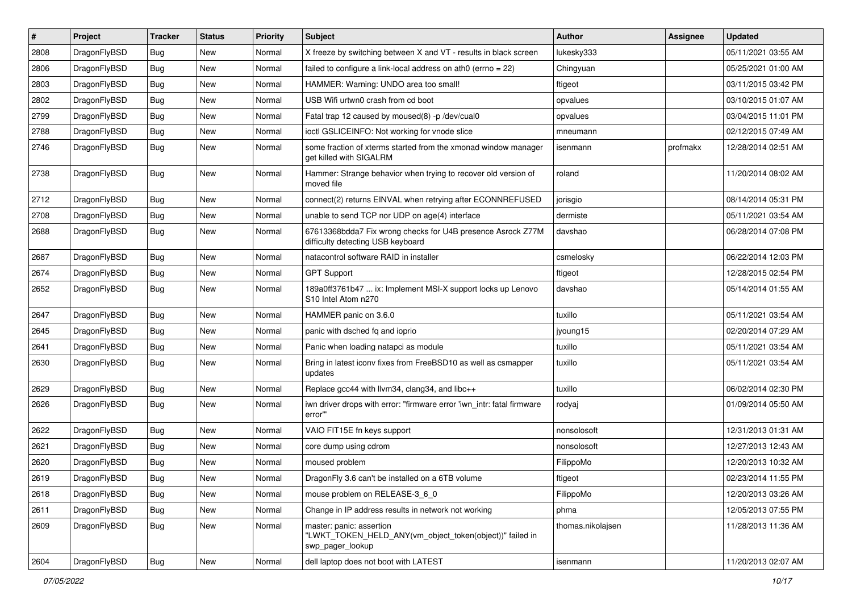| #    | Project      | <b>Tracker</b> | <b>Status</b> | <b>Priority</b> | <b>Subject</b>                                                                                           | <b>Author</b>     | <b>Assignee</b> | <b>Updated</b>      |
|------|--------------|----------------|---------------|-----------------|----------------------------------------------------------------------------------------------------------|-------------------|-----------------|---------------------|
| 2808 | DragonFlyBSD | <b>Bug</b>     | <b>New</b>    | Normal          | X freeze by switching between X and VT - results in black screen                                         | lukesky333        |                 | 05/11/2021 03:55 AM |
| 2806 | DragonFlyBSD | Bug            | <b>New</b>    | Normal          | failed to configure a link-local address on ath0 (errno = 22)                                            | Chingyuan         |                 | 05/25/2021 01:00 AM |
| 2803 | DragonFlyBSD | <b>Bug</b>     | <b>New</b>    | Normal          | HAMMER: Warning: UNDO area too small!                                                                    | ftigeot           |                 | 03/11/2015 03:42 PM |
| 2802 | DragonFlyBSD | Bug            | <b>New</b>    | Normal          | USB Wifi urtwn0 crash from cd boot                                                                       | opvalues          |                 | 03/10/2015 01:07 AM |
| 2799 | DragonFlyBSD | Bug            | <b>New</b>    | Normal          | Fatal trap 12 caused by moused(8) -p /dev/cual0                                                          | opvalues          |                 | 03/04/2015 11:01 PM |
| 2788 | DragonFlyBSD | <b>Bug</b>     | New           | Normal          | ioctl GSLICEINFO: Not working for vnode slice                                                            | mneumann          |                 | 02/12/2015 07:49 AM |
| 2746 | DragonFlyBSD | Bug            | <b>New</b>    | Normal          | some fraction of xterms started from the xmonad window manager<br>get killed with SIGALRM                | isenmann          | profmakx        | 12/28/2014 02:51 AM |
| 2738 | DragonFlyBSD | Bug            | <b>New</b>    | Normal          | Hammer: Strange behavior when trying to recover old version of<br>moved file                             | roland            |                 | 11/20/2014 08:02 AM |
| 2712 | DragonFlyBSD | <b>Bug</b>     | <b>New</b>    | Normal          | connect(2) returns EINVAL when retrying after ECONNREFUSED                                               | jorisgio          |                 | 08/14/2014 05:31 PM |
| 2708 | DragonFlyBSD | <b>Bug</b>     | <b>New</b>    | Normal          | unable to send TCP nor UDP on age(4) interface                                                           | dermiste          |                 | 05/11/2021 03:54 AM |
| 2688 | DragonFlyBSD | Bug            | <b>New</b>    | Normal          | 67613368bdda7 Fix wrong checks for U4B presence Asrock Z77M<br>difficulty detecting USB keyboard         | davshao           |                 | 06/28/2014 07:08 PM |
| 2687 | DragonFlyBSD | Bug            | <b>New</b>    | Normal          | natacontrol software RAID in installer                                                                   | csmelosky         |                 | 06/22/2014 12:03 PM |
| 2674 | DragonFlyBSD | <b>Bug</b>     | <b>New</b>    | Normal          | <b>GPT Support</b>                                                                                       | ftigeot           |                 | 12/28/2015 02:54 PM |
| 2652 | DragonFlyBSD | Bug            | <b>New</b>    | Normal          | 189a0ff3761b47  ix: Implement MSI-X support locks up Lenovo<br>S10 Intel Atom n270                       | davshao           |                 | 05/14/2014 01:55 AM |
| 2647 | DragonFlyBSD | <b>Bug</b>     | <b>New</b>    | Normal          | HAMMER panic on 3.6.0                                                                                    | tuxillo           |                 | 05/11/2021 03:54 AM |
| 2645 | DragonFlyBSD | Bug            | <b>New</b>    | Normal          | panic with dsched fq and ioprio                                                                          | jyoung15          |                 | 02/20/2014 07:29 AM |
| 2641 | DragonFlyBSD | <b>Bug</b>     | <b>New</b>    | Normal          | Panic when loading natapci as module                                                                     | tuxillo           |                 | 05/11/2021 03:54 AM |
| 2630 | DragonFlyBSD | Bug            | New           | Normal          | Bring in latest iconv fixes from FreeBSD10 as well as csmapper<br>updates                                | tuxillo           |                 | 05/11/2021 03:54 AM |
| 2629 | DragonFlyBSD | <b>Bug</b>     | <b>New</b>    | Normal          | Replace gcc44 with llvm34, clang34, and libc++                                                           | tuxillo           |                 | 06/02/2014 02:30 PM |
| 2626 | DragonFlyBSD | Bug            | <b>New</b>    | Normal          | iwn driver drops with error: "firmware error 'iwn intr: fatal firmware<br>error""                        | rodyaj            |                 | 01/09/2014 05:50 AM |
| 2622 | DragonFlyBSD | <b>Bug</b>     | <b>New</b>    | Normal          | VAIO FIT15E fn keys support                                                                              | nonsolosoft       |                 | 12/31/2013 01:31 AM |
| 2621 | DragonFlyBSD | Bug            | <b>New</b>    | Normal          | core dump using cdrom                                                                                    | nonsolosoft       |                 | 12/27/2013 12:43 AM |
| 2620 | DragonFlyBSD | <b>Bug</b>     | <b>New</b>    | Normal          | moused problem                                                                                           | FilippoMo         |                 | 12/20/2013 10:32 AM |
| 2619 | DragonFlyBSD | i Bug          | <b>New</b>    | Normal          | Dragon Fly 3.6 can't be installed on a 6TB volume                                                        | ftigeot           |                 | 02/23/2014 11:55 PM |
| 2618 | DragonFlyBSD | Bug            | <b>New</b>    | Normal          | mouse problem on RELEASE-3_6_0                                                                           | FilippoMo         |                 | 12/20/2013 03:26 AM |
| 2611 | DragonFlyBSD | <b>Bug</b>     | New           | Normal          | Change in IP address results in network not working                                                      | phma              |                 | 12/05/2013 07:55 PM |
| 2609 | DragonFlyBSD | <b>Bug</b>     | New           | Normal          | master: panic: assertion<br>"LWKT_TOKEN_HELD_ANY(vm_object_token(object))" failed in<br>swp_pager_lookup | thomas.nikolajsen |                 | 11/28/2013 11:36 AM |
| 2604 | DragonFlyBSD | <b>Bug</b>     | New           | Normal          | dell laptop does not boot with LATEST                                                                    | isenmann          |                 | 11/20/2013 02:07 AM |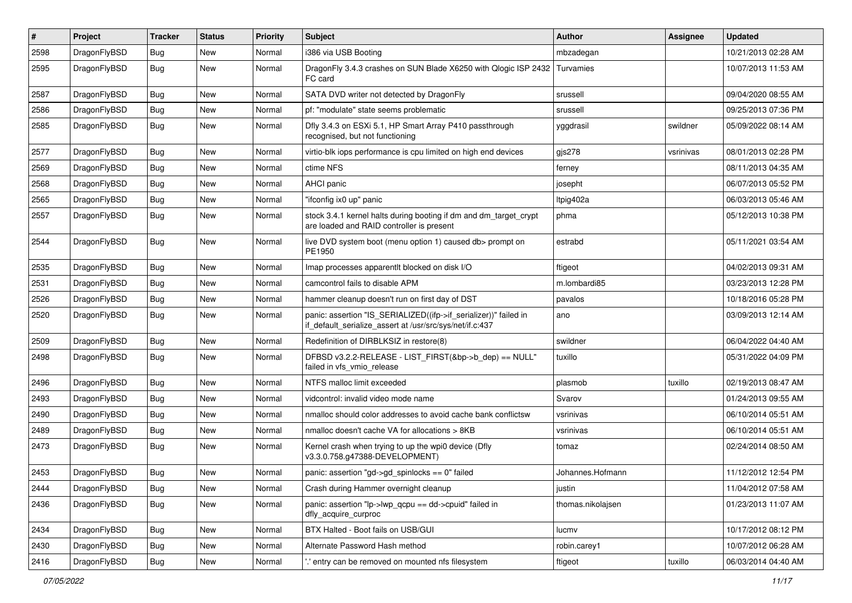| #    | Project      | <b>Tracker</b> | <b>Status</b> | <b>Priority</b> | Subject                                                                                                                      | <b>Author</b>     | Assignee  | <b>Updated</b>      |
|------|--------------|----------------|---------------|-----------------|------------------------------------------------------------------------------------------------------------------------------|-------------------|-----------|---------------------|
| 2598 | DragonFlyBSD | Bug            | <b>New</b>    | Normal          | i386 via USB Booting                                                                                                         | mbzadegan         |           | 10/21/2013 02:28 AM |
| 2595 | DragonFlyBSD | Bug            | New           | Normal          | DragonFly 3.4.3 crashes on SUN Blade X6250 with Qlogic ISP 2432<br>FC card                                                   | Turvamies         |           | 10/07/2013 11:53 AM |
| 2587 | DragonFlyBSD | Bug            | <b>New</b>    | Normal          | SATA DVD writer not detected by DragonFly                                                                                    | srussell          |           | 09/04/2020 08:55 AM |
| 2586 | DragonFlyBSD | Bug            | <b>New</b>    | Normal          | pf: "modulate" state seems problematic                                                                                       | srussell          |           | 09/25/2013 07:36 PM |
| 2585 | DragonFlyBSD | Bug            | New           | Normal          | Dfly 3.4.3 on ESXi 5.1, HP Smart Array P410 passthrough<br>recognised, but not functioning                                   | yggdrasil         | swildner  | 05/09/2022 08:14 AM |
| 2577 | DragonFlyBSD | Bug            | <b>New</b>    | Normal          | virtio-blk iops performance is cpu limited on high end devices                                                               | gjs278            | vsrinivas | 08/01/2013 02:28 PM |
| 2569 | DragonFlyBSD | Bug            | <b>New</b>    | Normal          | ctime NFS                                                                                                                    | ferney            |           | 08/11/2013 04:35 AM |
| 2568 | DragonFlyBSD | Bug            | New           | Normal          | AHCI panic                                                                                                                   | josepht           |           | 06/07/2013 05:52 PM |
| 2565 | DragonFlyBSD | Bug            | <b>New</b>    | Normal          | "ifconfig ix0 up" panic                                                                                                      | Itpig402a         |           | 06/03/2013 05:46 AM |
| 2557 | DragonFlyBSD | Bug            | <b>New</b>    | Normal          | stock 3.4.1 kernel halts during booting if dm and dm_target_crypt<br>are loaded and RAID controller is present               | phma              |           | 05/12/2013 10:38 PM |
| 2544 | DragonFlyBSD | Bug            | New           | Normal          | live DVD system boot (menu option 1) caused db> prompt on<br>PE1950                                                          | estrabd           |           | 05/11/2021 03:54 AM |
| 2535 | DragonFlyBSD | Bug            | New           | Normal          | Imap processes apparentlt blocked on disk I/O                                                                                | ftigeot           |           | 04/02/2013 09:31 AM |
| 2531 | DragonFlyBSD | Bug            | <b>New</b>    | Normal          | camcontrol fails to disable APM                                                                                              | m.lombardi85      |           | 03/23/2013 12:28 PM |
| 2526 | DragonFlyBSD | Bug            | New           | Normal          | hammer cleanup doesn't run on first day of DST                                                                               | pavalos           |           | 10/18/2016 05:28 PM |
| 2520 | DragonFlyBSD | Bug            | New           | Normal          | panic: assertion "IS_SERIALIZED((ifp->if_serializer))" failed in<br>if_default_serialize_assert at /usr/src/sys/net/if.c:437 | ano               |           | 03/09/2013 12:14 AM |
| 2509 | DragonFlyBSD | Bug            | <b>New</b>    | Normal          | Redefinition of DIRBLKSIZ in restore(8)                                                                                      | swildner          |           | 06/04/2022 04:40 AM |
| 2498 | DragonFlyBSD | Bug            | New           | Normal          | DFBSD v3.2.2-RELEASE - LIST_FIRST(&bp->b_dep) == NULL"<br>failed in vfs_vmio_release                                         | tuxillo           |           | 05/31/2022 04:09 PM |
| 2496 | DragonFlyBSD | Bug            | <b>New</b>    | Normal          | NTFS malloc limit exceeded                                                                                                   | plasmob           | tuxillo   | 02/19/2013 08:47 AM |
| 2493 | DragonFlyBSD | Bug            | <b>New</b>    | Normal          | vidcontrol: invalid video mode name                                                                                          | Svarov            |           | 01/24/2013 09:55 AM |
| 2490 | DragonFlyBSD | Bug            | New           | Normal          | nmalloc should color addresses to avoid cache bank conflictsw                                                                | vsrinivas         |           | 06/10/2014 05:51 AM |
| 2489 | DragonFlyBSD | Bug            | <b>New</b>    | Normal          | nmalloc doesn't cache VA for allocations > 8KB                                                                               | vsrinivas         |           | 06/10/2014 05:51 AM |
| 2473 | DragonFlyBSD | Bug            | New           | Normal          | Kernel crash when trying to up the wpi0 device (Dfly<br>v3.3.0.758.g47388-DEVELOPMENT)                                       | tomaz             |           | 02/24/2014 08:50 AM |
| 2453 | DragonFlyBSD | Bug            | New           | Normal          | panic: assertion "gd->gd spinlocks == $0$ " failed                                                                           | Johannes.Hofmann  |           | 11/12/2012 12:54 PM |
| 2444 | DragonFlyBSD | <b>Bug</b>     | New           | Normal          | Crash during Hammer overnight cleanup                                                                                        | justin            |           | 11/04/2012 07:58 AM |
| 2436 | DragonFlyBSD | <b>Bug</b>     | New           | Normal          | panic: assertion "lp->lwp_qcpu == dd->cpuid" failed in<br>dfly_acquire_curproc                                               | thomas.nikolajsen |           | 01/23/2013 11:07 AM |
| 2434 | DragonFlyBSD | <b>Bug</b>     | New           | Normal          | BTX Halted - Boot fails on USB/GUI                                                                                           | lucmv             |           | 10/17/2012 08:12 PM |
| 2430 | DragonFlyBSD | Bug            | New           | Normal          | Alternate Password Hash method                                                                                               | robin.carey1      |           | 10/07/2012 06:28 AM |
| 2416 | DragonFlyBSD | <b>Bug</b>     | New           | Normal          | ".' entry can be removed on mounted nfs filesystem                                                                           | ftigeot           | tuxillo   | 06/03/2014 04:40 AM |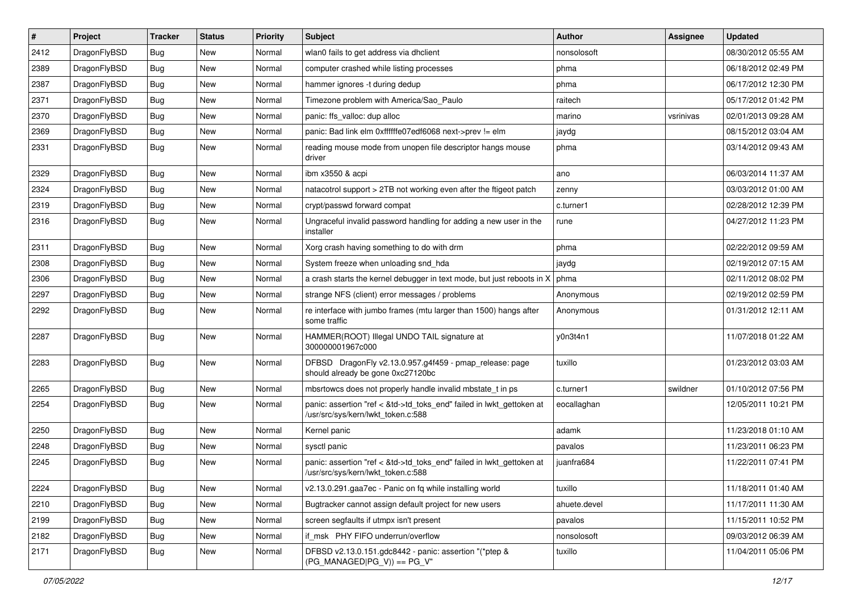| $\sharp$ | Project      | <b>Tracker</b> | <b>Status</b> | <b>Priority</b> | Subject                                                                                                    | <b>Author</b> | Assignee  | <b>Updated</b>      |
|----------|--------------|----------------|---------------|-----------------|------------------------------------------------------------------------------------------------------------|---------------|-----------|---------------------|
| 2412     | DragonFlyBSD | Bug            | New           | Normal          | wlan0 fails to get address via dhclient                                                                    | nonsolosoft   |           | 08/30/2012 05:55 AM |
| 2389     | DragonFlyBSD | Bug            | New           | Normal          | computer crashed while listing processes                                                                   | phma          |           | 06/18/2012 02:49 PM |
| 2387     | DragonFlyBSD | Bug            | New           | Normal          | hammer ignores -t during dedup                                                                             | phma          |           | 06/17/2012 12:30 PM |
| 2371     | DragonFlyBSD | Bug            | New           | Normal          | Timezone problem with America/Sao_Paulo                                                                    | raitech       |           | 05/17/2012 01:42 PM |
| 2370     | DragonFlyBSD | Bug            | <b>New</b>    | Normal          | panic: ffs_valloc: dup alloc                                                                               | marino        | vsrinivas | 02/01/2013 09:28 AM |
| 2369     | DragonFlyBSD | Bug            | <b>New</b>    | Normal          | panic: Bad link elm 0xffffffe07edf6068 next->prev != elm                                                   | jaydg         |           | 08/15/2012 03:04 AM |
| 2331     | DragonFlyBSD | Bug            | New           | Normal          | reading mouse mode from unopen file descriptor hangs mouse<br>driver                                       | phma          |           | 03/14/2012 09:43 AM |
| 2329     | DragonFlyBSD | Bug            | New           | Normal          | ibm x3550 & acpi                                                                                           | ano           |           | 06/03/2014 11:37 AM |
| 2324     | DragonFlyBSD | Bug            | <b>New</b>    | Normal          | natacotrol support > 2TB not working even after the ftigeot patch                                          | zenny         |           | 03/03/2012 01:00 AM |
| 2319     | DragonFlyBSD | <b>Bug</b>     | New           | Normal          | crypt/passwd forward compat                                                                                | c.turner1     |           | 02/28/2012 12:39 PM |
| 2316     | DragonFlyBSD | <b>Bug</b>     | <b>New</b>    | Normal          | Ungraceful invalid password handling for adding a new user in the<br>installer                             | rune          |           | 04/27/2012 11:23 PM |
| 2311     | DragonFlyBSD | Bug            | New           | Normal          | Xorg crash having something to do with drm                                                                 | phma          |           | 02/22/2012 09:59 AM |
| 2308     | DragonFlyBSD | Bug            | New           | Normal          | System freeze when unloading snd_hda                                                                       | jaydg         |           | 02/19/2012 07:15 AM |
| 2306     | DragonFlyBSD | <b>Bug</b>     | New           | Normal          | a crash starts the kernel debugger in text mode, but just reboots in X                                     | phma          |           | 02/11/2012 08:02 PM |
| 2297     | DragonFlyBSD | <b>Bug</b>     | New           | Normal          | strange NFS (client) error messages / problems                                                             | Anonymous     |           | 02/19/2012 02:59 PM |
| 2292     | DragonFlyBSD | Bug            | New           | Normal          | re interface with jumbo frames (mtu larger than 1500) hangs after<br>some traffic                          | Anonymous     |           | 01/31/2012 12:11 AM |
| 2287     | DragonFlyBSD | Bug            | New           | Normal          | HAMMER(ROOT) Illegal UNDO TAIL signature at<br>300000001967c000                                            | y0n3t4n1      |           | 11/07/2018 01:22 AM |
| 2283     | DragonFlyBSD | Bug            | New           | Normal          | DFBSD DragonFly v2.13.0.957.g4f459 - pmap_release: page<br>should already be gone 0xc27120bc               | tuxillo       |           | 01/23/2012 03:03 AM |
| 2265     | DragonFlyBSD | <b>Bug</b>     | New           | Normal          | mbsrtowcs does not properly handle invalid mbstate_t in ps                                                 | c.turner1     | swildner  | 01/10/2012 07:56 PM |
| 2254     | DragonFlyBSD | <b>Bug</b>     | New           | Normal          | panic: assertion "ref < &td->td_toks_end" failed in lwkt_gettoken at<br>/usr/src/sys/kern/lwkt token.c:588 | eocallaghan   |           | 12/05/2011 10:21 PM |
| 2250     | DragonFlyBSD | Bug            | <b>New</b>    | Normal          | Kernel panic                                                                                               | adamk         |           | 11/23/2018 01:10 AM |
| 2248     | DragonFlyBSD | <b>Bug</b>     | New           | Normal          | sysctl panic                                                                                               | pavalos       |           | 11/23/2011 06:23 PM |
| 2245     | DragonFlyBSD | Bug            | New           | Normal          | panic: assertion "ref < &td->td_toks_end" failed in lwkt_gettoken at<br>/usr/src/sys/kern/lwkt_token.c:588 | juanfra684    |           | 11/22/2011 07:41 PM |
| 2224     | DragonFlyBSD | <b>Bug</b>     | New           | Normal          | v2.13.0.291.gaa7ec - Panic on fq while installing world                                                    | tuxillo       |           | 11/18/2011 01:40 AM |
| 2210     | DragonFlyBSD | <b>Bug</b>     | <b>New</b>    | Normal          | Bugtracker cannot assign default project for new users                                                     | ahuete.devel  |           | 11/17/2011 11:30 AM |
| 2199     | DragonFlyBSD | Bug            | New           | Normal          | screen segfaults if utmpx isn't present                                                                    | pavalos       |           | 11/15/2011 10:52 PM |
| 2182     | DragonFlyBSD | <b>Bug</b>     | <b>New</b>    | Normal          | if_msk PHY FIFO underrun/overflow                                                                          | nonsolosoft   |           | 09/03/2012 06:39 AM |
| 2171     | DragonFlyBSD | <b>Bug</b>     | New           | Normal          | DFBSD v2.13.0.151.gdc8442 - panic: assertion "(*ptep &<br>$(PG_MANAGED PG_V)$ == $PG_V$ "                  | tuxillo       |           | 11/04/2011 05:06 PM |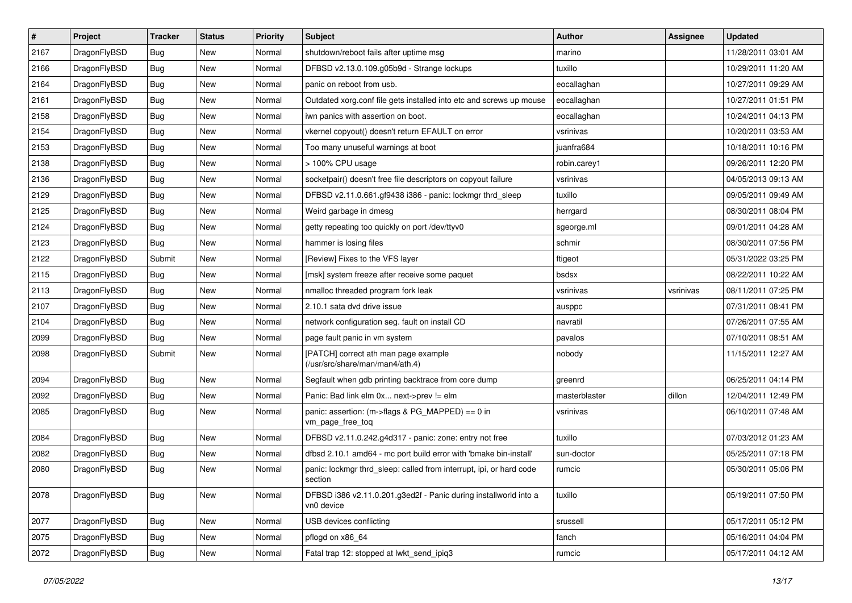| $\sharp$ | Project      | <b>Tracker</b> | <b>Status</b> | <b>Priority</b> | Subject                                                                        | <b>Author</b> | Assignee  | <b>Updated</b>      |
|----------|--------------|----------------|---------------|-----------------|--------------------------------------------------------------------------------|---------------|-----------|---------------------|
| 2167     | DragonFlyBSD | <b>Bug</b>     | New           | Normal          | shutdown/reboot fails after uptime msg                                         | marino        |           | 11/28/2011 03:01 AM |
| 2166     | DragonFlyBSD | Bug            | New           | Normal          | DFBSD v2.13.0.109.g05b9d - Strange lockups                                     | tuxillo       |           | 10/29/2011 11:20 AM |
| 2164     | DragonFlyBSD | <b>Bug</b>     | New           | Normal          | panic on reboot from usb.                                                      | eocallaghan   |           | 10/27/2011 09:29 AM |
| 2161     | DragonFlyBSD | <b>Bug</b>     | New           | Normal          | Outdated xorg.conf file gets installed into etc and screws up mouse            | eocallaghan   |           | 10/27/2011 01:51 PM |
| 2158     | DragonFlyBSD | Bug            | <b>New</b>    | Normal          | iwn panics with assertion on boot.                                             | eocallaghan   |           | 10/24/2011 04:13 PM |
| 2154     | DragonFlyBSD | <b>Bug</b>     | <b>New</b>    | Normal          | vkernel copyout() doesn't return EFAULT on error                               | vsrinivas     |           | 10/20/2011 03:53 AM |
| 2153     | DragonFlyBSD | <b>Bug</b>     | New           | Normal          | Too many unuseful warnings at boot                                             | juanfra684    |           | 10/18/2011 10:16 PM |
| 2138     | DragonFlyBSD | <b>Bug</b>     | <b>New</b>    | Normal          | > 100% CPU usage                                                               | robin.carey1  |           | 09/26/2011 12:20 PM |
| 2136     | DragonFlyBSD | <b>Bug</b>     | New           | Normal          | socketpair() doesn't free file descriptors on copyout failure                  | vsrinivas     |           | 04/05/2013 09:13 AM |
| 2129     | DragonFlyBSD | Bug            | New           | Normal          | DFBSD v2.11.0.661.gf9438 i386 - panic: lockmgr thrd_sleep                      | tuxillo       |           | 09/05/2011 09:49 AM |
| 2125     | DragonFlyBSD | <b>Bug</b>     | New           | Normal          | Weird garbage in dmesg                                                         | herrgard      |           | 08/30/2011 08:04 PM |
| 2124     | DragonFlyBSD | <b>Bug</b>     | <b>New</b>    | Normal          | getty repeating too quickly on port /dev/ttyv0                                 | sgeorge.ml    |           | 09/01/2011 04:28 AM |
| 2123     | DragonFlyBSD | <b>Bug</b>     | <b>New</b>    | Normal          | hammer is losing files                                                         | schmir        |           | 08/30/2011 07:56 PM |
| 2122     | DragonFlyBSD | Submit         | New           | Normal          | [Review] Fixes to the VFS layer                                                | ftigeot       |           | 05/31/2022 03:25 PM |
| 2115     | DragonFlyBSD | <b>Bug</b>     | New           | Normal          | [msk] system freeze after receive some paquet                                  | bsdsx         |           | 08/22/2011 10:22 AM |
| 2113     | DragonFlyBSD | <b>Bug</b>     | New           | Normal          | nmalloc threaded program fork leak                                             | vsrinivas     | vsrinivas | 08/11/2011 07:25 PM |
| 2107     | DragonFlyBSD | <b>Bug</b>     | New           | Normal          | 2.10.1 sata dvd drive issue                                                    | ausppc        |           | 07/31/2011 08:41 PM |
| 2104     | DragonFlyBSD | <b>Bug</b>     | New           | Normal          | network configuration seg. fault on install CD                                 | navratil      |           | 07/26/2011 07:55 AM |
| 2099     | DragonFlyBSD | Bug            | <b>New</b>    | Normal          | page fault panic in vm system                                                  | pavalos       |           | 07/10/2011 08:51 AM |
| 2098     | DragonFlyBSD | Submit         | New           | Normal          | [PATCH] correct ath man page example<br>(/usr/src/share/man/man4/ath.4)        | nobody        |           | 11/15/2011 12:27 AM |
| 2094     | DragonFlyBSD | Bug            | <b>New</b>    | Normal          | Segfault when gdb printing backtrace from core dump                            | greenrd       |           | 06/25/2011 04:14 PM |
| 2092     | DragonFlyBSD | Bug            | <b>New</b>    | Normal          | Panic: Bad link elm 0x next->prev != elm                                       | masterblaster | dillon    | 12/04/2011 12:49 PM |
| 2085     | DragonFlyBSD | <b>Bug</b>     | New           | Normal          | panic: assertion: (m->flags & PG_MAPPED) == 0 in<br>vm_page_free_toq           | vsrinivas     |           | 06/10/2011 07:48 AM |
| 2084     | DragonFlyBSD | Bug            | <b>New</b>    | Normal          | DFBSD v2.11.0.242.g4d317 - panic: zone: entry not free                         | tuxillo       |           | 07/03/2012 01:23 AM |
| 2082     | DragonFlyBSD | <b>Bug</b>     | <b>New</b>    | Normal          | dfbsd 2.10.1 amd64 - mc port build error with 'bmake bin-install'              | sun-doctor    |           | 05/25/2011 07:18 PM |
| 2080     | DragonFlyBSD | Bug            | New           | Normal          | panic: lockmgr thrd sleep: called from interrupt, ipi, or hard code<br>section | rumcic        |           | 05/30/2011 05:06 PM |
| 2078     | DragonFlyBSD | Bug            | New           | Normal          | DFBSD i386 v2.11.0.201.g3ed2f - Panic during installworld into a<br>vn0 device | tuxillo       |           | 05/19/2011 07:50 PM |
| 2077     | DragonFlyBSD | Bug            | New           | Normal          | USB devices conflicting                                                        | srussell      |           | 05/17/2011 05:12 PM |
| 2075     | DragonFlyBSD | <b>Bug</b>     | New           | Normal          | pflogd on x86_64                                                               | fanch         |           | 05/16/2011 04:04 PM |
| 2072     | DragonFlyBSD | <b>Bug</b>     | New           | Normal          | Fatal trap 12: stopped at lwkt_send_ipiq3                                      | rumcic        |           | 05/17/2011 04:12 AM |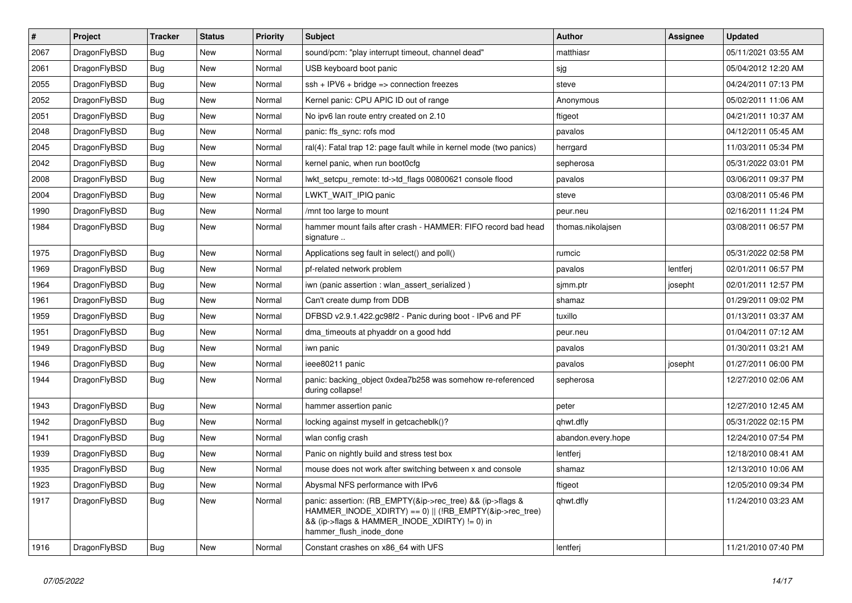| $\vert$ # | <b>Project</b> | <b>Tracker</b> | <b>Status</b> | Priority | <b>Subject</b>                                                                                                                                                                                    | <b>Author</b>      | Assignee | <b>Updated</b>      |
|-----------|----------------|----------------|---------------|----------|---------------------------------------------------------------------------------------------------------------------------------------------------------------------------------------------------|--------------------|----------|---------------------|
| 2067      | DragonFlyBSD   | <b>Bug</b>     | <b>New</b>    | Normal   | sound/pcm: "play interrupt timeout, channel dead"                                                                                                                                                 | matthiasr          |          | 05/11/2021 03:55 AM |
| 2061      | DragonFlyBSD   | Bug            | <b>New</b>    | Normal   | USB keyboard boot panic                                                                                                                                                                           | sjg                |          | 05/04/2012 12:20 AM |
| 2055      | DragonFlyBSD   | <b>Bug</b>     | <b>New</b>    | Normal   | $\operatorname{csh}$ + IPV6 + bridge => connection freezes                                                                                                                                        | steve              |          | 04/24/2011 07:13 PM |
| 2052      | DragonFlyBSD   | <b>Bug</b>     | <b>New</b>    | Normal   | Kernel panic: CPU APIC ID out of range                                                                                                                                                            | Anonymous          |          | 05/02/2011 11:06 AM |
| 2051      | DragonFlyBSD   | Bug            | <b>New</b>    | Normal   | No ipv6 lan route entry created on 2.10                                                                                                                                                           | ftigeot            |          | 04/21/2011 10:37 AM |
| 2048      | DragonFlyBSD   | Bug            | <b>New</b>    | Normal   | panic: ffs sync: rofs mod                                                                                                                                                                         | pavalos            |          | 04/12/2011 05:45 AM |
| 2045      | DragonFlyBSD   | Bug            | <b>New</b>    | Normal   | ral(4): Fatal trap 12: page fault while in kernel mode (two panics)                                                                                                                               | herrgard           |          | 11/03/2011 05:34 PM |
| 2042      | DragonFlyBSD   | <b>Bug</b>     | <b>New</b>    | Normal   | kernel panic, when run boot0cfg                                                                                                                                                                   | sepherosa          |          | 05/31/2022 03:01 PM |
| 2008      | DragonFlyBSD   | Bug            | <b>New</b>    | Normal   | lwkt setcpu remote: td->td flags 00800621 console flood                                                                                                                                           | pavalos            |          | 03/06/2011 09:37 PM |
| 2004      | DragonFlyBSD   | Bug            | New           | Normal   | LWKT_WAIT_IPIQ panic                                                                                                                                                                              | steve              |          | 03/08/2011 05:46 PM |
| 1990      | DragonFlyBSD   | <b>Bug</b>     | <b>New</b>    | Normal   | /mnt too large to mount                                                                                                                                                                           | peur.neu           |          | 02/16/2011 11:24 PM |
| 1984      | DragonFlyBSD   | <b>Bug</b>     | New           | Normal   | hammer mount fails after crash - HAMMER: FIFO record bad head<br>signature                                                                                                                        | thomas.nikolajsen  |          | 03/08/2011 06:57 PM |
| 1975      | DragonFlyBSD   | Bug            | New           | Normal   | Applications seg fault in select() and poll()                                                                                                                                                     | rumcic             |          | 05/31/2022 02:58 PM |
| 1969      | DragonFlyBSD   | Bug            | New           | Normal   | pf-related network problem                                                                                                                                                                        | pavalos            | lentferj | 02/01/2011 06:57 PM |
| 1964      | DragonFlyBSD   | <b>Bug</b>     | <b>New</b>    | Normal   | iwn (panic assertion : wlan assert serialized)                                                                                                                                                    | sjmm.ptr           | josepht  | 02/01/2011 12:57 PM |
| 1961      | DragonFlyBSD   | Bug            | New           | Normal   | Can't create dump from DDB                                                                                                                                                                        | shamaz             |          | 01/29/2011 09:02 PM |
| 1959      | DragonFlyBSD   | Bug            | New           | Normal   | DFBSD v2.9.1.422.gc98f2 - Panic during boot - IPv6 and PF                                                                                                                                         | tuxillo            |          | 01/13/2011 03:37 AM |
| 1951      | DragonFlyBSD   | Bug            | New           | Normal   | dma timeouts at phyaddr on a good hdd                                                                                                                                                             | peur.neu           |          | 01/04/2011 07:12 AM |
| 1949      | DragonFlyBSD   | <b>Bug</b>     | <b>New</b>    | Normal   | iwn panic                                                                                                                                                                                         | pavalos            |          | 01/30/2011 03:21 AM |
| 1946      | DragonFlyBSD   | Bug            | <b>New</b>    | Normal   | ieee80211 panic                                                                                                                                                                                   | pavalos            | josepht  | 01/27/2011 06:00 PM |
| 1944      | DragonFlyBSD   | Bug            | New           | Normal   | panic: backing_object 0xdea7b258 was somehow re-referenced<br>during collapse!                                                                                                                    | sepherosa          |          | 12/27/2010 02:06 AM |
| 1943      | DragonFlyBSD   | <b>Bug</b>     | New           | Normal   | hammer assertion panic                                                                                                                                                                            | peter              |          | 12/27/2010 12:45 AM |
| 1942      | DragonFlyBSD   | <b>Bug</b>     | New           | Normal   | locking against myself in getcacheblk()?                                                                                                                                                          | qhwt.dfly          |          | 05/31/2022 02:15 PM |
| 1941      | DragonFlyBSD   | Bug            | New           | Normal   | wlan config crash                                                                                                                                                                                 | abandon.every.hope |          | 12/24/2010 07:54 PM |
| 1939      | DragonFlyBSD   | <b>Bug</b>     | New           | Normal   | Panic on nightly build and stress test box                                                                                                                                                        | lentferj           |          | 12/18/2010 08:41 AM |
| 1935      | DragonFlyBSD   | <b>Bug</b>     | New           | Normal   | mouse does not work after switching between x and console                                                                                                                                         | shamaz             |          | 12/13/2010 10:06 AM |
| 1923      | DragonFlyBSD   | Bug            | New           | Normal   | Abysmal NFS performance with IPv6                                                                                                                                                                 | ftigeot            |          | 12/05/2010 09:34 PM |
| 1917      | DragonFlyBSD   | Bug            | New           | Normal   | panic: assertion: (RB EMPTY(&ip->rec tree) && (ip->flags &<br>HAMMER_INODE_XDIRTY) == 0)    (!RB_EMPTY(&ip->rec_tree)<br>&& (ip->flags & HAMMER_INODE_XDIRTY) != 0) in<br>hammer flush inode done | qhwt.dfly          |          | 11/24/2010 03:23 AM |
| 1916      | DragonFlyBSD   | Bug            | <b>New</b>    | Normal   | Constant crashes on x86 64 with UFS                                                                                                                                                               | lentferj           |          | 11/21/2010 07:40 PM |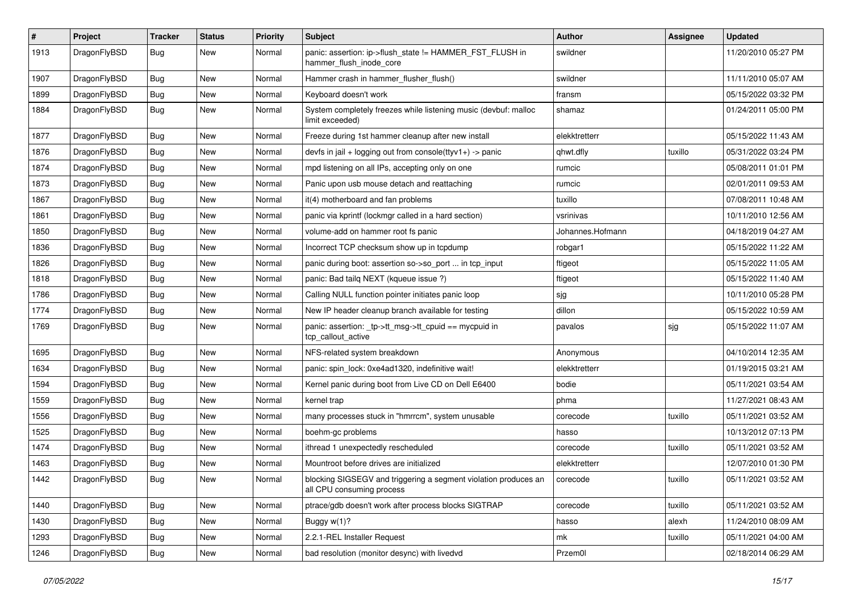| $\sharp$ | Project      | <b>Tracker</b> | <b>Status</b> | <b>Priority</b> | Subject                                                                                      | <b>Author</b>    | <b>Assignee</b> | <b>Updated</b>      |
|----------|--------------|----------------|---------------|-----------------|----------------------------------------------------------------------------------------------|------------------|-----------------|---------------------|
| 1913     | DragonFlyBSD | Bug            | New           | Normal          | panic: assertion: ip->flush_state != HAMMER_FST_FLUSH in<br>hammer_flush_inode_core          | swildner         |                 | 11/20/2010 05:27 PM |
| 1907     | DragonFlyBSD | Bug            | New           | Normal          | Hammer crash in hammer flusher flush()                                                       | swildner         |                 | 11/11/2010 05:07 AM |
| 1899     | DragonFlyBSD | <b>Bug</b>     | New           | Normal          | Keyboard doesn't work                                                                        | fransm           |                 | 05/15/2022 03:32 PM |
| 1884     | DragonFlyBSD | <b>Bug</b>     | New           | Normal          | System completely freezes while listening music (devbuf: malloc<br>limit exceeded)           | shamaz           |                 | 01/24/2011 05:00 PM |
| 1877     | DragonFlyBSD | Bug            | New           | Normal          | Freeze during 1st hammer cleanup after new install                                           | elekktretterr    |                 | 05/15/2022 11:43 AM |
| 1876     | DragonFlyBSD | <b>Bug</b>     | <b>New</b>    | Normal          | devfs in jail + logging out from console(ttyv1+) -> panic                                    | qhwt.dfly        | tuxillo         | 05/31/2022 03:24 PM |
| 1874     | DragonFlyBSD | Bug            | New           | Normal          | mpd listening on all IPs, accepting only on one                                              | rumcic           |                 | 05/08/2011 01:01 PM |
| 1873     | DragonFlyBSD | Bug            | New           | Normal          | Panic upon usb mouse detach and reattaching                                                  | rumcic           |                 | 02/01/2011 09:53 AM |
| 1867     | DragonFlyBSD | <b>Bug</b>     | New           | Normal          | it(4) motherboard and fan problems                                                           | tuxillo          |                 | 07/08/2011 10:48 AM |
| 1861     | DragonFlyBSD | <b>Bug</b>     | New           | Normal          | panic via kprintf (lockmgr called in a hard section)                                         | vsrinivas        |                 | 10/11/2010 12:56 AM |
| 1850     | DragonFlyBSD | Bug            | New           | Normal          | volume-add on hammer root fs panic                                                           | Johannes.Hofmann |                 | 04/18/2019 04:27 AM |
| 1836     | DragonFlyBSD | <b>Bug</b>     | New           | Normal          | Incorrect TCP checksum show up in tcpdump                                                    | robgar1          |                 | 05/15/2022 11:22 AM |
| 1826     | DragonFlyBSD | Bug            | <b>New</b>    | Normal          | panic during boot: assertion so->so_port  in tcp_input                                       | ftigeot          |                 | 05/15/2022 11:05 AM |
| 1818     | DragonFlyBSD | <b>Bug</b>     | New           | Normal          | panic: Bad tailg NEXT (kqueue issue ?)                                                       | ftigeot          |                 | 05/15/2022 11:40 AM |
| 1786     | DragonFlyBSD | <b>Bug</b>     | New           | Normal          | Calling NULL function pointer initiates panic loop                                           | sjg              |                 | 10/11/2010 05:28 PM |
| 1774     | DragonFlyBSD | Bug            | New           | Normal          | New IP header cleanup branch available for testing                                           | dillon           |                 | 05/15/2022 10:59 AM |
| 1769     | DragonFlyBSD | <b>Bug</b>     | <b>New</b>    | Normal          | panic: assertion: _tp->tt_msg->tt_cpuid == mycpuid in<br>tcp_callout_active                  | pavalos          | sjg             | 05/15/2022 11:07 AM |
| 1695     | DragonFlyBSD | <b>Bug</b>     | New           | Normal          | NFS-related system breakdown                                                                 | Anonymous        |                 | 04/10/2014 12:35 AM |
| 1634     | DragonFlyBSD | <b>Bug</b>     | New           | Normal          | panic: spin lock: 0xe4ad1320, indefinitive wait!                                             | elekktretterr    |                 | 01/19/2015 03:21 AM |
| 1594     | DragonFlyBSD | <b>Bug</b>     | <b>New</b>    | Normal          | Kernel panic during boot from Live CD on Dell E6400                                          | bodie            |                 | 05/11/2021 03:54 AM |
| 1559     | DragonFlyBSD | Bug            | New           | Normal          | kernel trap                                                                                  | phma             |                 | 11/27/2021 08:43 AM |
| 1556     | DragonFlyBSD | <b>Bug</b>     | New           | Normal          | many processes stuck in "hmrrcm", system unusable                                            | corecode         | tuxillo         | 05/11/2021 03:52 AM |
| 1525     | DragonFlyBSD | Bug            | <b>New</b>    | Normal          | boehm-gc problems                                                                            | hasso            |                 | 10/13/2012 07:13 PM |
| 1474     | DragonFlyBSD | Bug            | New           | Normal          | ithread 1 unexpectedly rescheduled                                                           | corecode         | tuxillo         | 05/11/2021 03:52 AM |
| 1463     | DragonFlyBSD | Bug            | <b>New</b>    | Normal          | Mountroot before drives are initialized                                                      | elekktretterr    |                 | 12/07/2010 01:30 PM |
| 1442     | DragonFlyBSD | Bug            | New           | Normal          | blocking SIGSEGV and triggering a segment violation produces an<br>all CPU consuming process | corecode         | tuxillo         | 05/11/2021 03:52 AM |
| 1440     | DragonFlyBSD | <b>Bug</b>     | New           | Normal          | ptrace/gdb doesn't work after process blocks SIGTRAP                                         | corecode         | tuxillo         | 05/11/2021 03:52 AM |
| 1430     | DragonFlyBSD | Bug            | New           | Normal          | Buggy w(1)?                                                                                  | hasso            | alexh           | 11/24/2010 08:09 AM |
| 1293     | DragonFlyBSD | <b>Bug</b>     | <b>New</b>    | Normal          | 2.2.1-REL Installer Request                                                                  | mk               | tuxillo         | 05/11/2021 04:00 AM |
| 1246     | DragonFlyBSD | <b>Bug</b>     | New           | Normal          | bad resolution (monitor desync) with livedvd                                                 | Przem0l          |                 | 02/18/2014 06:29 AM |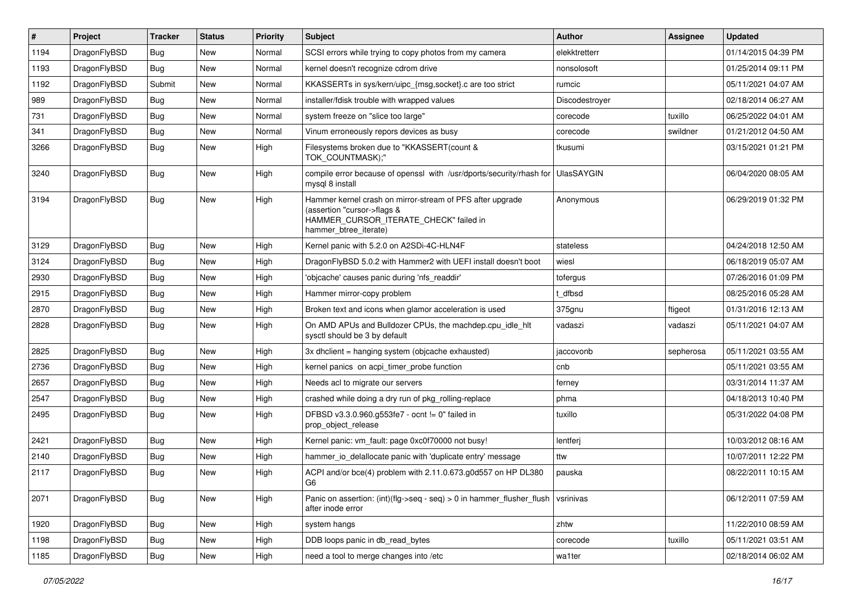| $\#$ | Project      | <b>Tracker</b> | <b>Status</b> | <b>Priority</b> | Subject                                                                                                                                                     | <b>Author</b>  | Assignee  | <b>Updated</b>      |
|------|--------------|----------------|---------------|-----------------|-------------------------------------------------------------------------------------------------------------------------------------------------------------|----------------|-----------|---------------------|
| 1194 | DragonFlyBSD | <b>Bug</b>     | New           | Normal          | SCSI errors while trying to copy photos from my camera                                                                                                      | elekktretterr  |           | 01/14/2015 04:39 PM |
| 1193 | DragonFlyBSD | Bug            | <b>New</b>    | Normal          | kernel doesn't recognize cdrom drive                                                                                                                        | nonsolosoft    |           | 01/25/2014 09:11 PM |
| 1192 | DragonFlyBSD | Submit         | New           | Normal          | KKASSERTs in sys/kern/uipc_{msg,socket}.c are too strict                                                                                                    | rumcic         |           | 05/11/2021 04:07 AM |
| 989  | DragonFlyBSD | Bug            | New           | Normal          | installer/fdisk trouble with wrapped values                                                                                                                 | Discodestrover |           | 02/18/2014 06:27 AM |
| 731  | DragonFlyBSD | <b>Bug</b>     | New           | Normal          | system freeze on "slice too large"                                                                                                                          | corecode       | tuxillo   | 06/25/2022 04:01 AM |
| 341  | DragonFlyBSD | <b>Bug</b>     | New           | Normal          | Vinum erroneously repors devices as busy                                                                                                                    | corecode       | swildner  | 01/21/2012 04:50 AM |
| 3266 | DragonFlyBSD | Bug            | <b>New</b>    | High            | Filesystems broken due to "KKASSERT(count &<br>TOK_COUNTMASK);"                                                                                             | tkusumi        |           | 03/15/2021 01:21 PM |
| 3240 | DragonFlyBSD | Bug            | <b>New</b>    | High            | compile error because of openssl with /usr/dports/security/rhash for<br>mysql 8 install                                                                     | UlasSAYGIN     |           | 06/04/2020 08:05 AM |
| 3194 | DragonFlyBSD | Bug            | New           | High            | Hammer kernel crash on mirror-stream of PFS after upgrade<br>(assertion "cursor->flags &<br>HAMMER_CURSOR_ITERATE_CHECK" failed in<br>hammer btree iterate) | Anonymous      |           | 06/29/2019 01:32 PM |
| 3129 | DragonFlyBSD | Bug            | <b>New</b>    | High            | Kernel panic with 5.2.0 on A2SDi-4C-HLN4F                                                                                                                   | stateless      |           | 04/24/2018 12:50 AM |
| 3124 | DragonFlyBSD | Bug            | New           | High            | DragonFlyBSD 5.0.2 with Hammer2 with UEFI install doesn't boot                                                                                              | wiesl          |           | 06/18/2019 05:07 AM |
| 2930 | DragonFlyBSD | <b>Bug</b>     | New           | High            | 'objcache' causes panic during 'nfs readdir'                                                                                                                | tofergus       |           | 07/26/2016 01:09 PM |
| 2915 | DragonFlyBSD | <b>Bug</b>     | <b>New</b>    | High            | Hammer mirror-copy problem                                                                                                                                  | t dfbsd        |           | 08/25/2016 05:28 AM |
| 2870 | DragonFlyBSD | <b>Bug</b>     | New           | High            | Broken text and icons when glamor acceleration is used                                                                                                      | 375gnu         | ftigeot   | 01/31/2016 12:13 AM |
| 2828 | DragonFlyBSD | Bug            | New           | High            | On AMD APUs and Bulldozer CPUs, the machdep.cpu_idle_hlt<br>sysctl should be 3 by default                                                                   | vadaszi        | vadaszi   | 05/11/2021 04:07 AM |
| 2825 | DragonFlyBSD | <b>Bug</b>     | New           | High            | 3x dhclient = hanging system (objcache exhausted)                                                                                                           | jaccovonb      | sepherosa | 05/11/2021 03:55 AM |
| 2736 | DragonFlyBSD | <b>Bug</b>     | New           | High            | kernel panics on acpi timer probe function                                                                                                                  | cnb            |           | 05/11/2021 03:55 AM |
| 2657 | DragonFlyBSD | Bug            | New           | High            | Needs acl to migrate our servers                                                                                                                            | ferney         |           | 03/31/2014 11:37 AM |
| 2547 | DragonFlyBSD | <b>Bug</b>     | New           | High            | crashed while doing a dry run of pkg rolling-replace                                                                                                        | phma           |           | 04/18/2013 10:40 PM |
| 2495 | DragonFlyBSD | <b>Bug</b>     | New           | High            | DFBSD v3.3.0.960.g553fe7 - ocnt != 0" failed in<br>prop object release                                                                                      | tuxillo        |           | 05/31/2022 04:08 PM |
| 2421 | DragonFlyBSD | <b>Bug</b>     | <b>New</b>    | High            | Kernel panic: vm_fault: page 0xc0f70000 not busy!                                                                                                           | lentferj       |           | 10/03/2012 08:16 AM |
| 2140 | DragonFlyBSD | <b>Bug</b>     | <b>New</b>    | High            | hammer_io_delallocate panic with 'duplicate entry' message                                                                                                  | ttw            |           | 10/07/2011 12:22 PM |
| 2117 | DragonFlyBSD | <b>Bug</b>     | New           | High            | ACPI and/or bce(4) problem with 2.11.0.673.g0d557 on HP DL380<br>G6                                                                                         | pauska         |           | 08/22/2011 10:15 AM |
| 2071 | DragonFlyBSD | <b>Bug</b>     | New           | High            | Panic on assertion: (int)(flg->seq - seq) > 0 in hammer_flusher_flush<br>after inode error                                                                  | vsrinivas      |           | 06/12/2011 07:59 AM |
| 1920 | DragonFlyBSD | <b>Bug</b>     | New           | High            | system hangs                                                                                                                                                | zhtw           |           | 11/22/2010 08:59 AM |
| 1198 | DragonFlyBSD | <b>Bug</b>     | New           | High            | DDB loops panic in db read bytes                                                                                                                            | corecode       | tuxillo   | 05/11/2021 03:51 AM |
| 1185 | DragonFlyBSD | Bug            | New           | High            | need a tool to merge changes into /etc                                                                                                                      | wa1ter         |           | 02/18/2014 06:02 AM |